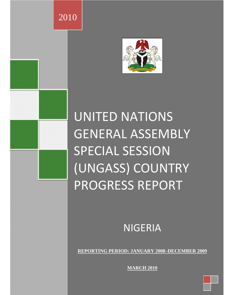

2010

# UNITED NATIONS GENERAL ASSEMBLY SPECIAL SESSION (UNGASS) COUNTRY PROGRESS REPORT

NIGERIA

**REPORTING PERIOD: JANUARY 2008–DECEMBER 2009**

**MARCH 2010**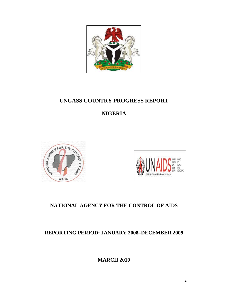

## **UNGASS COUNTRY PROGRESS REPORT**

## **NIGERIA**





## **NATIONAL AGENCY FOR THE CONTROL OF AIDS**

#### **REPORTING PERIOD: JANUARY 2008–DECEMBER 2009**

**MARCH 2010**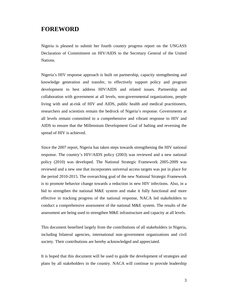#### **FOREWORD**

Nigeria is pleased to submit her fourth country progress report on the UNGASS Declaration of Commitment on HIV/AIDS to the Secretary General of the United Nations.

Nigeria's HIV response approach is built on partnership, capacity strengthening and knowledge generation and transfer, to effectively support policy and program development to best address HIV/AIDS and related issues. Partnership and collaboration with government at all levels, non-governmental organizations, people living with and at-risk of HIV and AIDS, public health and medical practitioners, researchers and scientists remain the bedrock of Nigeria's response. Governments at all levels remain committed to a comprehensive and vibrant response to HIV and AIDS to ensure that the Millennium Development Goal of halting and reversing the spread of HIV is achieved.

Since the 2007 report, Nigeria has taken steps towards strengthening the HIV national response. The country's HIV/AIDS policy (2003) was reviewed and a new national policy (2010) was developed. The National Strategic Framework 2005-2009 was reviewed and a new one that incorporates universal access targets was put in place for the period 2010-2015. The overarching goal of the new National Strategic Framework is to promote behavior change towards a reduction in new HIV infections. Also, in a bid to strengthen the national M&E system and make it fully functional and more effective in tracking progress of the national response, NACA led stakeholders to conduct a comprehensive assessment of the national M&E system. The results of the assessment are being used to strengthen M&E infrastructure and capacity at all levels.

This document benefited largely from the contributions of all stakeholders in Nigeria, including bilateral agencies, international non–government organizations and civil society. Their contributions are hereby acknowledged and appreciated.

It is hoped that this document will be used to guide the development of strategies and plans by all stakeholders in the country. NACA will continue to provide leadership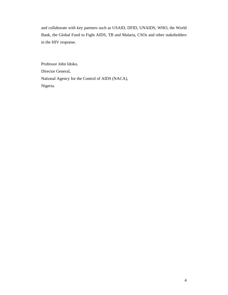and collaborate with key partners such as USAID, DFID, UNAIDS, WHO, the World Bank, the Global Fund to Fight AIDS, TB and Malaria, CSOs and other stakeholders in the HIV response.

Professor John Idoko, Director General, National Agency for the Control of AIDS (NACA), Nigeria.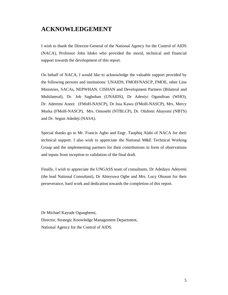## **ACKNOWLEDGEMENT**

I wish to thank the Director-General of the National Agency for the Control of AIDS (NACA), Professor John Idoko who provided the moral, technical and financial support towards the development of this report.

On behalf of NACA, I would like to acknowledge the valuable support provided by the following persons and institutions: UNAIDS, FMOH/NASCP, FMOE, other Line Ministries, SACAs, NEPWHAN, CISHAN and Development Partners (Bilateral and Multilateral), Dr. Job Sagbohan (UNAIDS), Dr Adeniyi Ogundiran (WHO), Dr. Aderemi Azeez (FMoH-NASCP), Dr Issa Kawu (FMoH-NASCP), Mrs. Mercy Morka (FMoH-NASCP), Mrs. Omosebi (NTBLCP), Dr. Olufemi Abayomi (NBTS) and Dr. Segun Adedeji (NASA).

Special thanks go to Mr. Francis Agbo and Engr. Taophiq Alabi of NACA for their technical support. I also wish to appreciate the National M&E Technical Working Group and the implementing partners for their contributions in form of observations and inputs from inception to validation of the final draft.

Finally, I wish to appreciate the UNGASS team of consultants, Dr Adedayo Adeyemi (the lead National Consultant), Dr Abieyuwa Ogbe and Mrs. Lucy Okosun for their perseverance, hard work and dedication towards the completion of this report.

Dr Michael Kayode Ogungbemi, Director, Strategic Knowledge Management Department, National Agency for the Control of AIDS.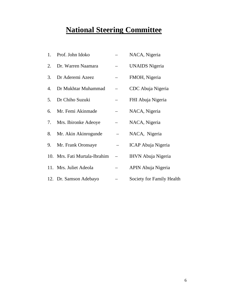# **National Steering Committee**

| 1. | Prof. John Idoko              | NACA, Nigeria             |
|----|-------------------------------|---------------------------|
| 2. | Dr. Warren Naamara            | <b>UNAIDS</b> Nigeria     |
| 3. | Dr Aderemi Azeez              | FMOH, Nigeria             |
| 4. | Dr Mukhtar Muhammad           | CDC Abuja Nigeria         |
| 5. | Dr Chiho Suzuki               | FHI Abuja Nigeria         |
| 6. | Mr. Femi Akinmade             | NACA, Nigeria             |
| 7. | Mrs. Ibironke Adeoye          | NACA, Nigeria             |
| 8. | Mr. Akin Akinrogunde          | NACA, Nigeria             |
| 9. | Mr. Frank Oronsaye            | ICAP Abuja Nigeria        |
|    | 10. Mrs. Fati Murtala-Ibrahim | <b>IHVN</b> Abuja Nigeria |
|    | 11. Mrs. Juliet Adeola        | APIN Abuja Nigeria        |
|    | 12. Dr. Samson Adebayo        | Society for Family Health |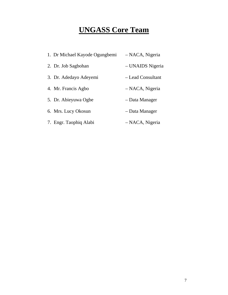# **UNGASS Core Team**

| 1. Dr Michael Kayode Ogungbemi | - NACA, Nigeria   |
|--------------------------------|-------------------|
| 2. Dr. Job Sagbohan            | - UNAIDS Nigeria  |
| 3. Dr. Adedayo Adeyemi         | - Lead Consultant |
| 4. Mr. Francis Agbo            | – NACA, Nigeria   |
| 5. Dr. Abieyuwa Ogbe           | - Data Manager    |
| 6. Mrs. Lucy Okosun            | - Data Manager    |
| 7. Engr. Taophiq Alabi         | – NACA, Nigeria   |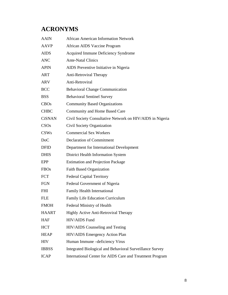## **ACRONYMS**

| <b>AAIN</b>   | <b>African American Information Network</b>               |
|---------------|-----------------------------------------------------------|
| <b>AAVP</b>   | African AIDS Vaccine Program                              |
| <b>AIDS</b>   | Acquired Immune Deficiency Syndrome                       |
| <b>ANC</b>    | <b>Ante-Natal Clinics</b>                                 |
| <b>APIN</b>   | AIDS Preventive Initiative in Nigeria                     |
| ART           | <b>Anti-Retroviral Therapy</b>                            |
| <b>ARV</b>    | Anti-Retroviral                                           |
| <b>BCC</b>    | <b>Behavioral Change Communication</b>                    |
| <b>BSS</b>    | <b>Behavioral Sentinel Survey</b>                         |
| <b>CBOs</b>   | <b>Community Based Organizations</b>                      |
| <b>CHBC</b>   | Community and Home Based Care                             |
| <b>CiSNAN</b> | Civil Society Consultative Network on HIV/AIDS in Nigeria |
| CSOs          | Civil Society Organization                                |
| CSWs          | <b>Commercial Sex Workers</b>                             |
| DoC           | <b>Declaration of Commitment</b>                          |
| <b>DFID</b>   | Department for International Development                  |
| <b>DHIS</b>   | District Health Information System                        |
| EPP           | <b>Estimation and Projection Package</b>                  |
| <b>FBOs</b>   | <b>Faith Based Organization</b>                           |
| <b>FCT</b>    | <b>Federal Capital Territory</b>                          |
| <b>FGN</b>    | Federal Government of Nigeria                             |
| <b>FHI</b>    | Family Health International                               |
| <b>FLE</b>    | Family Life Education Curriculum                          |
| <b>FMOH</b>   | Federal Ministry of Health                                |
| <b>HAART</b>  | <b>Highly Active Anti-Retroviral Therapy</b>              |
| <b>HAF</b>    | HIV/AIDS Fund                                             |
| <b>HCT</b>    | HIV/AIDS Counseling and Testing                           |
| <b>HEAP</b>   | HIV/AIDS Emergency Action Plan                            |
| <b>HIV</b>    | Human Immune - deficiency Virus                           |
| <b>IBBSS</b>  | Integrated Biological and Behavioral Surveillance Survey  |
| <b>ICAP</b>   | International Center for AIDS Care and Treatment Program  |
|               |                                                           |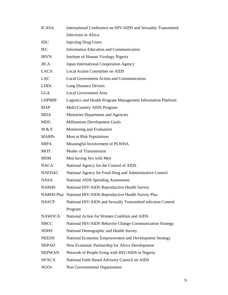| <b>ICASA</b>  | International Conference on HIV/AIDS and Sexuality Transmitted |  |  |  |
|---------------|----------------------------------------------------------------|--|--|--|
|               | Infections in Africa                                           |  |  |  |
| IDU           | <b>Injecting Drug Users</b>                                    |  |  |  |
| <b>IEC</b>    | <b>Information Education and Communication</b>                 |  |  |  |
| <b>IHVN</b>   | Institute of Human Virology Nigeria                            |  |  |  |
| <b>JICA</b>   | Japan International Cooperation Agency                         |  |  |  |
| <b>LACA</b>   | Local Action Committee on AIDS                                 |  |  |  |
| <b>LAC</b>    | <b>Local Government Action and Communication</b>               |  |  |  |
| LDDs          | Long Distance Drivers                                          |  |  |  |
| <b>LGA</b>    | <b>Local Government Area</b>                                   |  |  |  |
| <b>LHPMIP</b> | Logistics and Health Program Management Information Platform   |  |  |  |
| <b>MAP</b>    | Multi-Country AIDS Program                                     |  |  |  |
| <b>MDA</b>    | Ministries Department and Agencies                             |  |  |  |
| <b>MDG</b>    | Millennium Development Goals                                   |  |  |  |
| M & E         | Monitoring and Evaluation                                      |  |  |  |
| <b>MARPs</b>  | Most at Risk Populations                                       |  |  |  |
| <b>MIPA</b>   | Meaningful Involvement of PLWHA                                |  |  |  |
| <b>MOT</b>    | Modes of Transmission                                          |  |  |  |
| <b>MSM</b>    | Men having Sex with Men                                        |  |  |  |
| <b>NACA</b>   | National Agency for the Control of AIDS                        |  |  |  |
| <b>NAFDAC</b> | National Agency for Food Drug and Administrative Control       |  |  |  |
| <b>NASA</b>   | <b>National AIDS Spending Assessment</b>                       |  |  |  |
| <b>NARHS</b>  | National HIV/AIDS Reproductive Health Survey                   |  |  |  |
|               | NARHS Plus National HIV/AIDS Reproductive Health Survey Plus   |  |  |  |
| <b>NASCP</b>  | National HIV/AIDS and Sexually Transmitted infection Control   |  |  |  |
|               | Program                                                        |  |  |  |
| <b>NAWOCA</b> | National Action for Women Coalition and AIDS                   |  |  |  |
| <b>NBCC</b>   | National HIV/AIDS Behavior Change Communication Strategy       |  |  |  |
| <b>NDHS</b>   | National Demographic and Health Survey                         |  |  |  |
| <b>NEEDS</b>  | National Economic Empowerment and Development Strategy         |  |  |  |
| <b>NEPAD</b>  | New Economic Partnership for Africa Development                |  |  |  |
| <b>NEPWAN</b> | Network of People living with HIV/AIDS in Nigeria              |  |  |  |
| <b>NFACA</b>  | National Faith Based Advisory Council on AIDS                  |  |  |  |
| <b>NGOs</b>   | Non Governmental Organization                                  |  |  |  |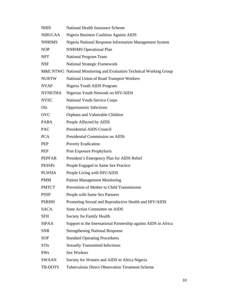| <b>NHIS</b>    | <b>National Health Insurance Scheme</b>                             |
|----------------|---------------------------------------------------------------------|
| <b>NiBUCAA</b> | <b>Nigeria Business Coalition Against AIDS</b>                      |
| <b>NNRIMS</b>  | Nigeria National Response Information Management System             |
| <b>NOP</b>     | <b>NNRIMS</b> Operational Plan                                      |
| <b>NPT</b>     | National Program Team                                               |
| <b>NSF</b>     | <b>National Strategic Framework</b>                                 |
|                | M&E NTWG National Monitoring and Evaluation Technical Working Group |
| <b>NURTW</b>   | National Union of Road Transport Workers                            |
| <b>NYAP</b>    | Nigeria Youth AIDS Program                                          |
| <b>NYNETHA</b> | Nigerian Youth Network on HIV/AIDS                                  |
| <b>NYSC</b>    | <b>National Youth Service Corps</b>                                 |
| OIs            | Opportunistic Infections                                            |
| <b>OVC</b>     | Orphans and Vulnerable Children                                     |
| <b>PABA</b>    | People Affected by AIDS                                             |
| <b>PAC</b>     | Presidential AIDS Council                                           |
| <b>PCA</b>     | Presidential Commission on AIDS                                     |
| PEP            | <b>Poverty Eradication</b>                                          |
| PEP            | Post Exposure Prophylaxis                                           |
| <b>PEPFAR</b>  | President's Emergency Plan for AIDS Relief                          |
| <b>PESSPs</b>  | People Engaged in Same Sex Practice                                 |
| <b>PLWHA</b>   | People Living with HIV/AIDS                                         |
| <b>PMM</b>     | <b>Patient Management Monitoring</b>                                |
| <b>PMTCT</b>   | Prevention of Mother to Child Transmission                          |
| <b>PSSP</b>    | People with Same Sex Partners                                       |
| <b>PSRHH</b>   | Promoting Sexual and Reproductive Health and HIV/AIDS               |
| <b>SACA</b>    | <b>State Action Committee on AIDS</b>                               |
| <b>SFH</b>     | Society for Family Health                                           |
| <b>SIPAA</b>   | Support to the International Partnership against AIDS in Africa     |
| <b>SNR</b>     | <b>Strengthening National Response</b>                              |
| <b>SOP</b>     | <b>Standard Operating Procedures</b>                                |
| <b>STIs</b>    | <b>Sexually Transmitted Infections</b>                              |
| <b>SWs</b>     | Sex Workers                                                         |
| SWAAN          | Society for Women and AIDS in Africa Nigeria                        |
| TB-DOTS        | Tuberculosis Direct Observation Treatment Scheme                    |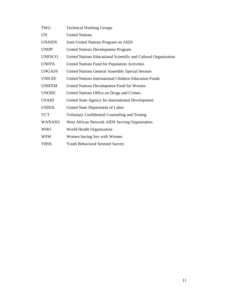| <b>TWG</b>    | <b>Technical Working Groups</b>                                 |
|---------------|-----------------------------------------------------------------|
| <b>UN</b>     | <b>United Nations</b>                                           |
| <b>UNAIDS</b> | Joint United Nations Program on AIDS                            |
| <b>UNDP</b>   | <b>United Nations Development Program</b>                       |
| <b>UNESCO</b> | United Nations Educational Scientific and Cultural Organization |
| <b>UNFPA</b>  | United Nations Fund for Population Activities                   |
| <b>UNGASS</b> | United Nations General Assembly Special Session                 |
| <b>UNICEF</b> | United Nations International Children Education Funds           |
| <b>UNIFEM</b> | United Nations Development Fund for Women                       |
| <b>UNODC</b>  | United Nations Office on Drugs and Crimes                       |
| <b>USAID</b>  | United State Agency for International Development               |
| <b>USDOL</b>  | United State Department of Labor                                |
| <b>VCT</b>    | <b>Voluntary Confidential Counseling and Testing</b>            |
| <b>WANASO</b> | West African Network AIDS Serving Organization                  |
| <b>WHO</b>    | World Health Organization                                       |
| WSW           | Women having Sex with Women                                     |
| YBSS          | <b>Youth Behavioral Sentinel Survey</b>                         |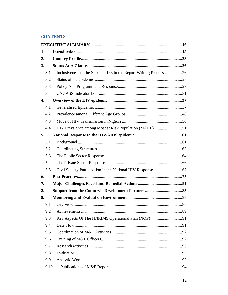#### **CONTENTS**

| 1. |       |                                                                   |  |
|----|-------|-------------------------------------------------------------------|--|
| 2. |       |                                                                   |  |
| 3. |       |                                                                   |  |
|    | 3.1.  | Inclusiveness of the Stakeholders in the Report Writing Process26 |  |
|    | 3.2.  |                                                                   |  |
|    | 3.3.  |                                                                   |  |
|    | 3.4.  |                                                                   |  |
| 4. |       |                                                                   |  |
|    | 4.1.  |                                                                   |  |
|    | 4.2.  |                                                                   |  |
|    | 4.3.  |                                                                   |  |
|    | 4.4.  |                                                                   |  |
| 5. |       |                                                                   |  |
|    | 5.1.  |                                                                   |  |
|    | 5.2.  |                                                                   |  |
|    | 5.3.  |                                                                   |  |
|    | 5.4.  |                                                                   |  |
|    | 5.5.  |                                                                   |  |
| 6. |       |                                                                   |  |
| 7. |       |                                                                   |  |
| 8. |       |                                                                   |  |
| 9. |       |                                                                   |  |
|    | 9.1.  |                                                                   |  |
|    | 9.2.  |                                                                   |  |
|    | 9.3.  |                                                                   |  |
|    | 9.4.  |                                                                   |  |
|    | 9.5.  |                                                                   |  |
|    | 9.6.  |                                                                   |  |
|    | 9.7.  |                                                                   |  |
|    | 9.8.  |                                                                   |  |
|    | 9.9.  |                                                                   |  |
|    | 9.10. |                                                                   |  |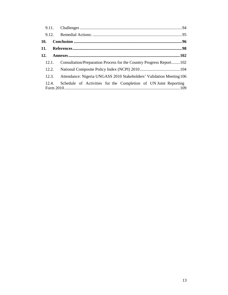| 10. |       |                                                                            |
|-----|-------|----------------------------------------------------------------------------|
| 11. |       |                                                                            |
| 12. |       |                                                                            |
|     | 12.1. | Consultation/Preparation Process for the Country Progress Report102        |
|     |       |                                                                            |
|     |       | 12.3. Attendance: Nigeria UNGASS 2010 Stakeholders' Validation Meeting 106 |
|     | 12.4. | Schedule of Activities for the Completion of UN Joint Reporting            |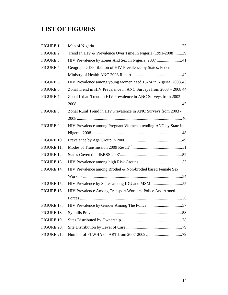## **LIST OF FIGURES**

| FIGURE 1.  |                                                                  |
|------------|------------------------------------------------------------------|
| FIGURE 2.  | Trend In HIV & Prevalence Over Time In Nigeria (1991-2008)39     |
| FIGURE 3.  | HIV Prevalence by Zones And Sex In Nigeria, 2007 41              |
| FIGURE 4.  | Geographic Distribution of HIV Prevalence by States: Federal     |
|            |                                                                  |
| FIGURE 5.  | HIV Prevalence among young women aged 15-24 in Nigeria, 2008.43  |
| FIGURE 6.  | Zonal Trend in HIV Prevalence in ANC Surveys from 2003 - 2008 44 |
| FIGURE 7.  | Zonal Urban Trend in HIV Prevalence in ANC Surveys from 2003 -   |
|            |                                                                  |
| FIGURE 8.  | Zonal Rural Trend in HIV Prevalence in ANC Surveys from 2003 -   |
|            |                                                                  |
| FIGURE 9.  | HIV Prevalence among Pregnant Women attending ANC by State in    |
|            |                                                                  |
| FIGURE 10. |                                                                  |
| FIGURE 11. |                                                                  |
| FIGURE 12. |                                                                  |
| FIGURE 13. |                                                                  |
| FIGURE 14. | HIV Prevalence among Brothel & Non-brothel based Female Sex      |
|            |                                                                  |
| FIGURE 15. |                                                                  |
| FIGURE 16. | HIV Prevalence Among Transport Workers, Police And Armed         |
|            |                                                                  |
| FIGURE 17. |                                                                  |
| FIGURE 18. |                                                                  |
| FIGURE 19. |                                                                  |
| FIGURE 20. |                                                                  |
| FIGURE 21. |                                                                  |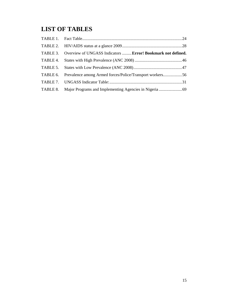# **LIST OF TABLES**

| TABLE 3. Overview of UNGASS Indicators  Error! Bookmark not defined. |  |
|----------------------------------------------------------------------|--|
|                                                                      |  |
|                                                                      |  |
| TABLE 6. Prevalence among Armed forces/Police/Transport workers56    |  |
|                                                                      |  |
|                                                                      |  |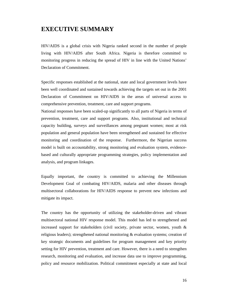#### **EXECUTIVE SUMMARY**

HIV/AIDS is a global crisis with Nigeria ranked second in the number of people living with HIV/AIDS after South Africa. Nigeria is therefore committed to monitoring progress in reducing the spread of HIV in line with the United Nations' Declaration of Commitment.

Specific responses established at the national, state and local government levels have been well coordinated and sustained towards achieving the targets set out in the 2001 Declaration of Commitment on HIV/AIDS in the areas of universal access to comprehensive prevention, treatment, care and support programs.

National responses have been scaled-up significantly to all parts of Nigeria in terms of prevention, treatment, care and support programs. Also, institutional and technical capacity building, surveys and surveillances among pregnant women; most at risk population and general population have been strengthened and sustained for effective monitoring and coordination of the response. Furthermore, the Nigerian success model is built on accountability, strong monitoring and evaluation system, evidencebased and culturally appropriate programming strategies, policy implementation and analysis, and program linkages.

Equally important, the country is committed to achieving the Millennium Development Goal of combating HIV/AIDS, malaria and other diseases through multisectoral collaborations for HIV/AIDS response to prevent new infections and mitigate its impact.

The country has the opportunity of utilizing the stakeholder-driven and vibrant multisectoral national HIV response model. This model has led to strengthened and increased support for stakeholders (civil society, private sector, women, youth  $\&$ religious leaders); strengthened national monitoring & evaluation systems; creation of key strategic documents and guidelines for program management and key priority setting for HIV prevention, treatment and care. However, there is a need to strengthen research, monitoring and evaluation, and increase data use to improve programming, policy and resource mobilization. Political commitment especially at state and local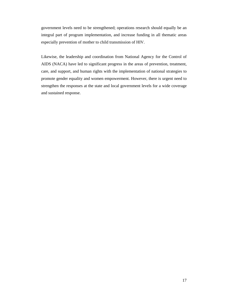government levels need to be strengthened; operations research should equally be an integral part of program implementation, and increase funding in all thematic areas especially prevention of mother to child transmission of HIV.

Likewise, the leadership and coordination from National Agency for the Control of AIDS (NACA) have led to significant progress in the areas of prevention, treatment, care, and support, and human rights with the implementation of national strategies to promote gender equality and women empowerment. However, there is urgent need to strengthen the responses at the state and local government levels for a wide coverage and sustained response.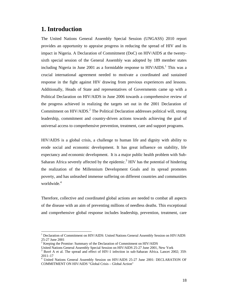#### **1. Introduction**

 $\overline{a}$ 

The United Nations General Assembly Special Session (UNGASS) 2010 report provides an opportunity to appraise progress in reducing the spread of HIV and its impact in Nigeria. A Declaration of Commitment (DoC) on HIV/AIDS at the twentysixth special session of the General Assembly was adopted by 189 member states including Nigeria in June 2001 as a formidable response to  $HIV/AIDS$ .<sup>1</sup> This was a crucial international agreement needed to motivate a coordinated and sustained response in the fight against HIV drawing from previous experiences and lessons. Additionally, Heads of State and representatives of Governments came up with a Political Declaration on HIV/AIDS in June 2006 towards a comprehensive review of the progress achieved in realizing the targets set out in the 2001 Declaration of Commitment on HIV/AIDS.<sup>2</sup> The Political Declaration addresses political will, strong leadership, commitment and country-driven actions towards achieving the goal of universal access to comprehensive prevention, treatment, care and support programs.

HIV/AIDS is a global crisis, a challenge to human life and dignity with ability to erode social and economic development. It has great influence on stability, life expectancy and economic development. It is a major public health problem with Sub-Saharan Africa severely affected by the epidemic.<sup>3</sup> HIV has the potential of hindering the realization of the Millennium Development Goals and its spread promotes poverty, and has unleashed immense suffering on different countries and communities worldwide.<sup>4</sup>

Therefore, collective and coordinated global actions are needed to combat all aspects of the disease with an aim of preventing millions of needless deaths. This exceptional and comprehensive global response includes leadership, prevention, treatment, care

<sup>&</sup>lt;sup>1</sup> Declaration of Commitment on HIV/AIDS: United Nations General Assembly Session on HIV/AIDS 25-27 June 2001

 $2^{2}$  Keeping the Promise: Summary of the Declaration of Commitment on HIV/AIDS

United Nations General Assembly Special Session on HIV/AIDS 25-27 June 2001, New York

<sup>3</sup> Buvé A et al. The spread and effect of HIV-1 infection in sub-Saharan Africa. Lancet 2002; 359: 2011–17

<sup>4</sup> United Nations General Assembly Session on HIV/AIDS 25-27 June 2001: DECLARATION OF COMMITMENT ON HIV/AIDS "Global Crisis – Global Action"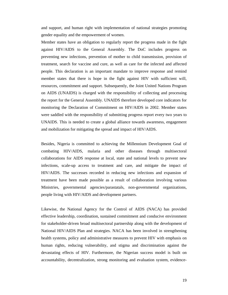and support, and human right with implementation of national strategies promoting gender equality and the empowerment of women.

Member states have an obligation to regularly report the progress made in the fight against HIV/AIDS to the General Assembly. The DoC includes progress on preventing new infections, prevention of mother to child transmission, provision of treatment, search for vaccine and cure, as well as care for the infected and affected people. This declaration is an important mandate to improve response and remind member states that there is hope in the fight against HIV with sufficient will, resources, commitment and support. Subsequently, the Joint United Nations Program on AIDS (UNAIDS) is charged with the responsibility of collecting and processing the report for the General Assembly. UNAIDS therefore developed core indicators for monitoring the Declaration of Commitment on HIV/AIDS in 2002. Member states were saddled with the responsibility of submitting progress report every two years to UNAIDS. This is needed to create a global alliance towards awareness, engagement and mobilization for mitigating the spread and impact of HIV/AIDS.

Besides, Nigeria is committed to achieving the Millennium Development Goal of combating HIV/AIDS, malaria and other diseases through multisectoral collaborations for AIDS response at local, state and national levels to prevent new infections, scale-up access to treatment and care, and mitigate the impact of HIV/AIDS. The successes recorded in reducing new infections and expansion of treatment have been made possible as a result of collaboration involving various Ministries, governmental agencies/parastatals, non-governmental organizations, people living with HIV/AIDS and development partners.

Likewise, the National Agency for the Control of AIDS (NACA) has provided effective leadership, coordination, sustained commitment and conducive environment for stakeholder-driven broad multisectoral partnership along with the development of National HIV/AIDS Plan and strategies. NACA has been involved in strengthening health systems, policy and administrative measures to prevent HIV with emphasis on human rights, reducing vulnerability, and stigma and discrimination against the devastating effects of HIV. Furthermore, the Nigerian success model is built on accountability, decentralization, strong monitoring and evaluation system, evidence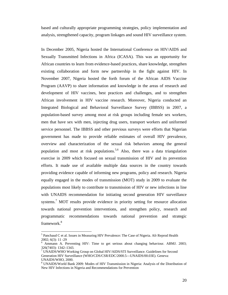based and culturally appropriate programming strategies, policy implementation and analysis, strengthened capacity, program linkages and sound HIV surveillance system.

In December 2005, Nigeria hosted the International Conference on HIV/AIDS and Sexually Transmitted Infections in Africa (ICASA). This was an opportunity for African countries to learn from evidence-based practices, share knowledge, strengthen existing collaboration and form new partnership in the fight against HIV. In November 2007, Nigeria hosted the forth forum of the African AIDS Vaccine Program (AAVP) to share information and knowledge in the areas of research and development of HIV vaccines, best practices and challenges, and to strengthen African involvement in HIV vaccine research. Moreover, Nigeria conducted an Integrated Biological and Behavioral Surveillance Survey (IBBSS) in 2007, a population-based survey among most at risk groups including female sex workers, men that have sex with men, injecting drug users, transport workers and uniformed service personnel. The IBBSS and other previous surveys were efforts that Nigerian government has made to provide reliable estimates of overall HIV prevalence, overview and characterization of the sexual risk behaviors among the general population and most at risk populations.<sup>5,6</sup> Also, there was a data triangulation exercise in 2009 which focused on sexual transmission of HIV and its prevention efforts. It made use of available multiple data sources in the country towards providing evidence capable of informing new programs, policy and research. Nigeria equally engaged in the modes of transmission (MOT) study in 2009 to evaluate the populations most likely to contribute to transmission of HIV or new infections in line with UNAIDS recommendation for initiating second generation HIV surveillance systems.<sup>7</sup> MOT results provide evidence in priority setting for resource allocation towards national prevention interventions, and strengthen policy, research and programmatic recommendations towards national prevention and strategic framework.8

 $\overline{a}$ 

<sup>&</sup>lt;sup>5</sup> Panchaud C et al. Issues in Measuring HIV Prevalence: The Case of Nigeria. Afr Reprod Health 2002; 6(3): 11 -29

<sup>&</sup>lt;sup>6</sup> Ammann A. Preventing HIV: Time to get serious about changing behaviour. ABMJ. 2003; 326(7403): 1342–1343.

<sup>&</sup>lt;sup>7</sup> UNAIDS/WHO Working Group on Global HIV/AIDS/STI Surveillance. Guidelines for Second Generation HIV Surveillance (WHO/CDS/CSR/EDC/2000.5—UNAIDS/00.03E). Geneva: UNAIDS/WHO, 2000.

<sup>&</sup>lt;sup>8</sup> UNAIDS/World Bank 2009: Modes of HIV Transmission in Nigeria: Analysis of the Distribution of New HIV Infections in Nigeria and Recommendations for Prevention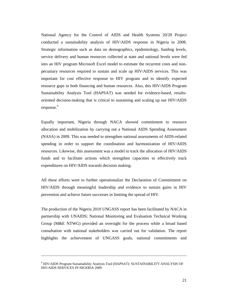National Agency for the Control of AIDS and Health Systems 20/20 Project conducted a sustainability analysis of HIV/AIDS response in Nigeria in 2008. Strategic information such as data on demographics, epidemiology, funding levels, service delivery and human resources collected at state and national levels were fed into an HIV program Microsoft Excel model to estimate the recurrent costs and nonpecuniary resources required to sustain and scale up HIV/AIDS services. This was important for cost effective response to HIV program and to identify expected resource gaps in both financing and human resources. Also, this HIV/AIDS Program Sustainability Analysis Tool (HAPSAT) was needed for evidence-based, resultsoriented decision-making that is critical to sustaining and scaling up our HIV/AIDS response.<sup>9</sup>

Equally important, Nigeria through NACA showed commitment to resource allocation and mobilization by carrying out a National AIDS Spending Assessment (NASA) in 2009. This was needed to strengthen national assessments of AIDS-related spending in order to support the coordination and harmonization of HIV/AIDS resources. Likewise, this assessment was a model to track the allocation of HIV/AIDS funds and to facilitate actions which strengthen capacities to effectively track expenditures on HIV/AIDS towards decision making.

All these efforts were to further operationalize the Declaration of Commitment on HIV/AIDS through meaningful leadership and evidence to sustain gains in HIV prevention and achieve future successes in limiting the spread of HIV.

The production of the Nigeria 2010 UNGASS report has been facilitated by NACA in partnership with UNAIDS; National Monitoring and Evaluation Technical Working Group (M&E NTWG) provided an oversight for the process while a broad based consultation with national stakeholders was carried out for validation. The report highlights the achievement of UNGASS goals, national commitments and

<sup>9</sup> HIV/AIDS Program Sustainability Analysis Tool (HAPSAT): SUSTAINABILITY ANALYSIS OF HIV/AIDS SERVICES IN NIGERIA 2009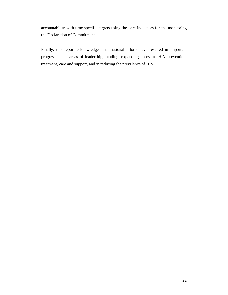accountability with time-specific targets using the core indicators for the monitoring the Declaration of Commitment.

Finally, this report acknowledges that national efforts have resulted in important progress in the areas of leadership, funding, expanding access to HIV prevention, treatment, care and support, and in reducing the prevalence of HIV.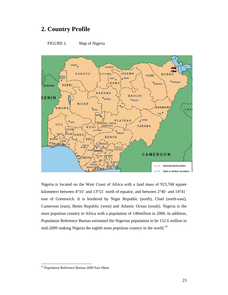## **2. Country Profile**





Nigeria is located on the West Coast of Africa with a land mass of 923,768 square kilometers between 4°16' and 13°53΄ north of equator, and between 2°40΄ and 14°41΄ east of Greenwich. It is bordered by Niger Republic (north), Chad (north-east), Cameroon (east), Benin Republic (west) and Atlantic Ocean (south). Nigeria is the most populous country in Africa with a population of 140million in 2006. In addition, Population Reference Bureau estimated the Nigerian population to be 152.6 million in mid-2009 making Nigeria the eighth most populous country in the world.<sup>10</sup>

 $\overline{\phantom{a}}$ 

<sup>&</sup>lt;sup>10</sup> Population Reference Bureau 2009 Fact Sheet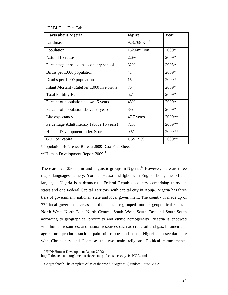#### TABLE 1. Fact Table

| <b>Facts about Nigeria</b>                   | <b>Figure</b>           | Year   |
|----------------------------------------------|-------------------------|--------|
| Landmass                                     | 923,768 Km <sup>2</sup> |        |
| Population                                   | 152.6million            | 2009*  |
| <b>Natural Increase</b>                      | 2.6%                    | 2009*  |
| Percentage enrolled in secondary school      | 32%                     | 2005*  |
| Births per 1,000 population                  | 41                      | 2009*  |
| Deaths per 1,000 population                  | 15                      | 2009*  |
| Infant Mortality Rate (per 1,000 live births | 75                      | 2009*  |
| <b>Total Fertility Rate</b>                  | 5.7                     | 2009*  |
| Percent of population below 15 years         | 45%                     | 2009*  |
| Percent of population above 65 years         | 3%                      | 2009*  |
| Life expectancy                              | 47.7 years              | 2009** |
| Percentage Adult literacy (above 15 years)   | 72%                     | 2009** |
| Human Development Index Score                | 0.51                    | 2009** |
| GDP per capita                               | US\$1,969               | 2009** |

\*Population Reference Bureau 2009 Data Fact Sheet

\*\*Human Development Report 2009<sup>11</sup>

There are over 250 ethnic and linguistic groups in Nigeria.<sup>12</sup> However, there are three major languages namely: Yoruba, Hausa and Igbo with English being the official language. Nigeria is a democratic Federal Republic country comprising thirty-six states and one Federal Capital Territory with capital city in Abuja. Nigeria has three tiers of government: national, state and local government. The country is made up of 774 local government areas and the states are grouped into six geopolitical zones – North West, North East, North Central, South West, South East and South-South according to geographical proximity and ethnic homogeneity. Nigeria is endowed with human resources, and natural resources such as crude oil and gas, bitumen and agricultural products such as palm oil, rubber and cocoa. Nigeria is a secular state with Christianity and Islam as the two main religions. Political commitments,

 $\overline{a}$ 

<sup>&</sup>lt;sup>11</sup> UNDP Human Development Report 2009:

http://hdrstats.undp.org/en/countries/country\_fact\_sheets/cty\_fs\_NGA.html

<sup>&</sup>lt;sup>12</sup> Geographical: The complete Atlas of the world, "Nigeria", (Random House, 2002)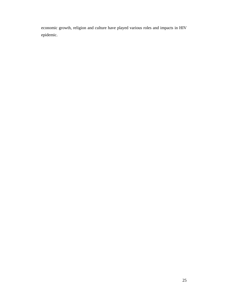economic growth, religion and culture have played various roles and impacts in HIV epidemic.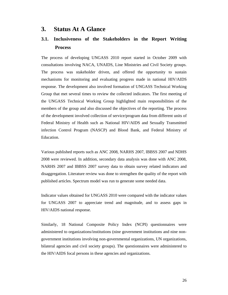#### **3. Status At A Glance**

### **3.1. Inclusiveness of the Stakeholders in the Report Writing Process**

The process of developing UNGASS 2010 report started in October 2009 with consultations involving NACA, UNAIDS, Line Ministries and Civil Society groups. The process was stakeholder driven, and offered the opportunity to sustain mechanisms for monitoring and evaluating progress made in national HIV/AIDS response. The development also involved formation of UNGASS Technical Working Group that met several times to review the collected indicators. The first meeting of the UNGASS Technical Working Group highlighted main responsibilities of the members of the group and also discussed the objectives of the reporting. The process of the development involved collection of service/program data from different units of Federal Ministry of Health such as National HIV/AIDS and Sexually Transmitted infection Control Program (NASCP) and Blood Bank, and Federal Ministry of Education.

Various published reports such as ANC 2008, NARHS 2007, IBBSS 2007 and NDHS 2008 were reviewed. In addition, secondary data analysis was done with ANC 2008, NARHS 2007 and IBBSS 2007 survey data to obtain survey related indicators and disaggregation. Literature review was done to strengthen the quality of the report with published articles. Spectrum model was run to generate some needed data.

Indicator values obtained for UNGASS 2010 were compared with the indicator values for UNGASS 2007 to appreciate trend and magnitude, and to assess gaps in HIV/AIDS national response.

Similarly, 18 National Composite Policy Index (NCPI) questionnaires were administered to organizations/institutions (nine government institutions and nine nongovernment institutions involving non-governmental organizations, UN organizations, bilateral agencies and civil society groups). The questionnaires were administered to the HIV/AIDS focal persons in these agencies and organizations.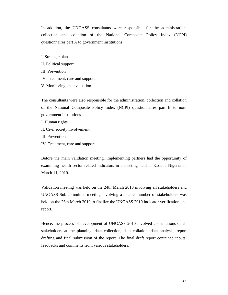In addition, the UNGASS consultants were responsible for the administration, collection and collation of the National Composite Policy Index (NCPI) questionnaires part A to government institutions:

I. Strategic plan

- II. Political support
- III. Prevention
- IV. Treatment, care and support
- V. Monitoring and evaluation

The consultants were also responsible for the administration, collection and collation of the National Composite Policy Index (NCPI) questionnaires part B to nongovernment institutions

I. Human rights

II. Civil society involvement

III. Prevention

IV. Treatment, care and support

Before the main validation meeting, implementing partners had the opportunity of examining health sector related indicators in a meeting held in Kaduna Nigeria on March 11, 2010.

Validation meeting was held on the 24th March 2010 involving all stakeholders and UNGASS Sub-committee meeting involving a smaller number of stakeholders was held on the 26th March 2010 to finalize the UNGASS 2010 indicator verification and report.

Hence, the process of development of UNGASS 2010 involved consultations of all stakeholders at the planning, data collection, data collation, data analysis, report drafting and final submission of the report. The final draft report contained inputs, feedbacks and comments from various stakeholders.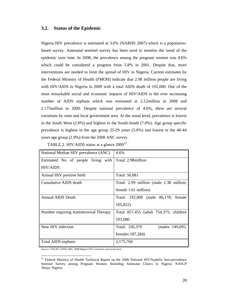#### **3.2. Status of the Epidemic**

Nigeria HIV prevalence is estimated at 3.6% (NARHS 2007) which is a populationbased survey. Antenatal sentinel survey has been used to monitor the trend of the epidemic over time. In 2008, the prevalence among the pregnant women was 4.6% which could be considered a progress from 5.8% in 2001. Despite that, more interventions are needed to limit the spread of HIV in Nigeria. Current estimates by the Federal Ministry of Health (FMOH) indicate that 2.98 million people are living with HIV/AIDS in Nigeria in 2009 with a total AIDS death of 192,000. One of the most remarkable social and economic impacts of HIV/AIDS is the ever increasing number of AIDS orphans which was estimated at 2.12million in 2008 and 2.175million in 2009. Despite national prevalence of 4.6%, there are several variations by state and local government area. At the zonal level, prevalence is lowest in the South West (2.0%) and highest in the South-South (7.0%). Age group specific prevalence is highest in the age group 25-29 years (5.6%) and lowest in the 40-44 years age group (2.9%) from the 2008 ANC survey.

| TABLE 2. HIV/AIDS status at a glance 2009 <sup>13</sup> |  |  |
|---------------------------------------------------------|--|--|
|                                                         |  |  |

| National Median HIV prevalence (ANC)    | 4.6%                                    |
|-----------------------------------------|-----------------------------------------|
| Estimated No of people living with      | Total: 2.98 million                     |
| <b>HIV/AIDS</b>                         |                                         |
| Annual HIV positive birth               | Total: 56,681                           |
| Cumulative AIDS death                   | Total: 2.99 million (male 1.38 million; |
|                                         | female 1.61 million)                    |
| Annual AIDS Death                       | Total: 192,000 (male 86,178; female     |
|                                         | 105,822)                                |
| Number requiring Antiretroviral Therapy | Total 857,455 (adult 754,375; children  |
|                                         | 103,080                                 |
| New HIV infection                       | Total: 336,379<br>(males 149,095;       |
|                                         | females 187,284)                        |
| Total AIDS orphans                      | 2,175,760                               |

*Source: FMOH (2008) ANC 2008 Report HIV estimates and projection*

 $\overline{a}$ 

<sup>&</sup>lt;sup>13</sup> Federal Ministry of Health Technical Report on the 2008 National HIV/Syphilis Sero-prevalence Sentinel Survey among Pregnant Women Attending Antenatal Clinics in Nigeria. NASCP Abuja: Nigeria.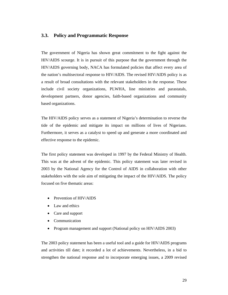#### **3.3. Policy and Programmatic Response**

The government of Nigeria has shown great commitment to the fight against the HIV/AIDS scourge. It is in pursuit of this purpose that the government through the HIV/AIDS governing body, NACA has formulated policies that affect every area of the nation's multisectoral response to HIV/AIDS. The revised HIV/AIDS policy is as a result of broad consultations with the relevant stakeholders in the response. These include civil society organizations, PLWHA, line ministries and parastatals, development partners, donor agencies, faith-based organizations and community based organizations.

The HIV/AIDS policy serves as a statement of Nigeria's determination to reverse the tide of the epidemic and mitigate its impact on millions of lives of Nigerians. Furthermore, it serves as a catalyst to speed up and generate a more coordinated and effective response to the epidemic.

The first policy statement was developed in 1997 by the Federal Ministry of Health. This was at the advent of the epidemic. This policy statement was later revised in 2003 by the National Agency for the Control of AIDS in collaboration with other stakeholders with the sole aim of mitigating the impact of the HIV/AIDS. The policy focused on five thematic areas:

- Prevention of HIV/AIDS
- Law and ethics
- Care and support
- Communication
- Program management and support (National policy on HIV/AIDS 2003)

The 2003 policy statement has been a useful tool and a guide for HIV/AIDS programs and activities till date; it recorded a lot of achievements. Nevertheless, in a bid to strengthen the national response and to incorporate emerging issues, a 2009 revised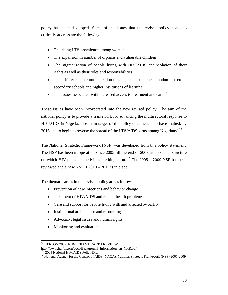policy has been developed. Some of the issues that the revised policy hopes to critically address are the following:

- The rising HIV prevalence among women
- The expansion in number of orphans and vulnerable children
- The stigmatization of people living with HIV/AIDS and violation of their rights as well as their roles and responsibilities.
- The differences in communication messages on abstinence, condom use etc in secondary schools and higher institutions of learning.
- The issues associated with increased access to treatment and care.<sup>14</sup>

These issues have been incorporated into the new revised policy. The aim of the national policy is to provide a framework for advancing the multisectoral response to HIV/AIDS in Nigeria. The main target of the policy document is to have 'halted, by 2015 and to begin to reverse the spread of the HIV/AIDS virus among Nigerians'.<sup>15</sup>

The National Strategic Framework (NSF) was developed from this policy statement. The NSF has been in operation since 2005 till the end of 2009 as a skeletal structure on which HIV plans and activities are hinged on.  $^{16}$  The 2005 – 2009 NSF has been reviewed and a new NSF II 2010 – 2015 is in place.

The thematic areas in the revised policy are as follows:

- Prevention of new infections and behavior change
- Treatment of HIV/AIDS and related health problems
- Care and support for people living with and affected by AIDS
- Institutional architecture and resourcing
- Advocacy, legal issues and human rights
- Monitoring and evaluation

 $\overline{\phantom{a}}$ <sup>14</sup> HERFON 2007: NIIGERIIAN HEALTH REVIIEW

http://www.herfon.org/docs/Background\_Information\_on\_NHR.pdf

<sup>2009</sup> National HIV/AIDS Policy Draft

<sup>&</sup>lt;sup>16</sup> National Agency for the Control of AIDS (NACA): National Strategic Framework (NSF) 2005-2009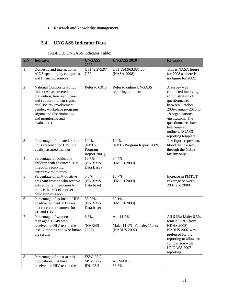#### Research and knowledge management

## **3.4. UNGASS Indicator Data**

| TABLE 3. UNGASS Indicator Table: |  |
|----------------------------------|--|
|----------------------------------|--|

| S/N            | <b>Indicator</b>                                                                                                                                                                                                                                      | <b>UNGASS</b><br>2007                      | <b>UNGASS 2010</b>                                       | <b>Remarks</b>                                                                                                                                                                                                                                    |
|----------------|-------------------------------------------------------------------------------------------------------------------------------------------------------------------------------------------------------------------------------------------------------|--------------------------------------------|----------------------------------------------------------|---------------------------------------------------------------------------------------------------------------------------------------------------------------------------------------------------------------------------------------------------|
| $\mathbf{1}$   | Domestic and international<br>AIDS spending by categories<br>and financing sources                                                                                                                                                                    | US\$42,275,97<br>7.57                      | US\$ 394,963,881.00<br>(NASA 2008)                       | This is NASA figure<br>for 2008 as there is<br>no figure for 2009.                                                                                                                                                                                |
| $\overline{2}$ | <b>National Composite Policy</b><br>Index (Areas covered:<br>prevention, treatment, care<br>and support, human rights,<br>civil society involvement,<br>gender, workplace programs,<br>stigma and discrimination<br>and monitoring and<br>evaluation) | Refer to CRIS                              | Refer to online UNGASS<br>reporting template             | A survey was<br>conducted involving<br>administration of<br>questionnaires<br>between October<br>2009-January 2010 to<br>18 organizations<br>/institutions. The<br>questionnaires have<br>been entered in<br>online UNGASS<br>reporting template. |
| 3              | Percentage of donated blood<br>units screened for HIV in a<br>quality assured manner                                                                                                                                                                  | 100%<br>(NBTS<br>Program<br>Report 2007)   | 100%<br>(NBTS Program Report 2009)                       | The figure represents<br>blood that passed<br>through the NBTS<br>facility only                                                                                                                                                                   |
| $\overline{4}$ | Percentage of adults and<br>children with advanced HIV<br>infection receiving<br>antiretroviral therapy                                                                                                                                               | 16.7%<br>(NNRIMS<br>Data Base)             | 34.4%<br>(FMOH 2009)                                     |                                                                                                                                                                                                                                                   |
| 5              | Percentage of HIV-positive<br>pregnant women who receive<br>antiretroviral medicines to<br>reduce the risk of mother-to-<br>child transmission                                                                                                        | 5.3%<br>(NNRIMS<br>Data base)              | 18.7%<br>(FMOH 2009)                                     | Increase in PMTCT<br>coverage between<br>2007 and 2009                                                                                                                                                                                            |
| 6              | Percentage of estimated HIV-<br>positive incident TB cases<br>that received treatment for<br>TB and HIV                                                                                                                                               | 55.95%<br>(NNRIMS<br>Data base)            | 69.1%<br>(FMOH 2009)                                     |                                                                                                                                                                                                                                                   |
| $\tau$         | Percentage of women and<br>men aged 15-49 who<br>received an HIV test in the<br>last 12 months and who know<br>the results                                                                                                                            | 8.6%<br>(NARHS<br>2005)                    | All: 11.7%<br>Male: 11.9%; Female: 11.4%<br>(NARHS 2007) | All 6.6%; Male: 6.5%<br>female 6.6% (from<br><b>NDHS 2008)</b><br>NARHS 2007 was<br>preferred for the<br>reporting to allow for<br>comparison with<br><b>UNGASS 2007</b><br>reporting.                                                            |
| $\,8\,$        | Percentage of most-at-risk<br>populations that have<br>received an HIV test in the                                                                                                                                                                    | FSW: 38.2;<br>MSM:30.2:<br><b>IDU 23.2</b> | All MARPS:<br>38.6%                                      |                                                                                                                                                                                                                                                   |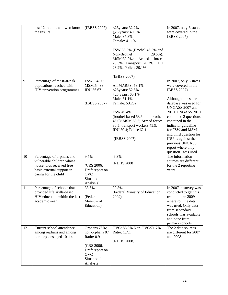|    | last 12 months and who know                                 | (IBBSS 2007)                  | $<$ 25years: 32.2%                                            | In 2007, only 6 states                      |
|----|-------------------------------------------------------------|-------------------------------|---------------------------------------------------------------|---------------------------------------------|
|    | the results                                                 |                               | $\geq$ 25 years: 40.9%                                        | were covered in the                         |
|    |                                                             |                               | Male: 37.8%                                                   | <b>IBBSS 2007)</b>                          |
|    |                                                             |                               | Female: 41.1%                                                 |                                             |
|    |                                                             |                               |                                                               |                                             |
|    |                                                             |                               | FSW 38.2% (Brothel 46.2% and                                  |                                             |
|    |                                                             |                               | Non-Brothel<br>$29.6\%$ ;                                     |                                             |
|    |                                                             |                               | MSM:30.2%;<br>Armed<br>forces<br>70.5%; Transport: 20.3%; IDU |                                             |
|    |                                                             |                               | 23.2%; Police: 39.1%                                          |                                             |
|    |                                                             |                               |                                                               |                                             |
|    |                                                             |                               | (IBBSS 2007)                                                  |                                             |
| 9  | Percentage of most-at-risk                                  | FSW: 34.30;                   |                                                               | In 2007, only 6 states                      |
|    | populations reached with                                    | MSM:54.38                     | All MARPS: 58.1%                                              | were covered in the                         |
|    | HIV prevention programmes                                   | <b>IDU 56.67</b>              | $<$ 25years: 52.6%                                            | IBBSS 2007).                                |
|    |                                                             |                               | ≥25 years: 60.1%                                              |                                             |
|    |                                                             |                               | Male: 61.1%                                                   | Although, the same                          |
|    |                                                             | (IBBSS 2007)                  | Female: 53.2%                                                 | database was used for                       |
|    |                                                             |                               |                                                               | UNGASS 2007 and                             |
|    |                                                             |                               | FSW 49.4%                                                     | 2010. UNGASS 2010                           |
|    |                                                             |                               | (brothel-based 53.6; non-brothel                              | combined 2 questions                        |
|    |                                                             |                               | 45.0); MSM 60.3; Armed forces                                 | contained in the                            |
|    |                                                             |                               | 80.5; transport workers 45.9;                                 | indicator guideline                         |
|    |                                                             |                               | IDU 59.4; Police 62.1                                         | for FSW and MSM,<br>and third question for  |
|    |                                                             |                               | (IBBSS 2007)                                                  | IDU as against the                          |
|    |                                                             |                               |                                                               | previous UNGASS                             |
|    |                                                             |                               |                                                               | report where only                           |
|    |                                                             |                               |                                                               | question1 was used                          |
| 10 | Percentage of orphans and                                   | 9.7%                          | 6.3%                                                          | The information                             |
|    | vulnerable children whose                                   |                               | (NDHS 2008)                                                   | sources are different                       |
|    | households received free                                    | (CRS 2006,                    |                                                               | for the 2 reporting                         |
|    | basic external support in                                   | Draft report on               |                                                               | years.                                      |
|    | caring for the child                                        | <b>OVC</b>                    |                                                               |                                             |
|    |                                                             | Situational                   |                                                               |                                             |
|    |                                                             | Analysis)                     |                                                               |                                             |
| 11 | Percentage of schools that                                  | 33.6%                         | 22.8%                                                         | In 2007, a survey was                       |
|    | provided life skills-based<br>HIV education within the last | (Federal                      | (Federal Ministry of Education<br>2009)                       | conducted to get this<br>result unlike 2009 |
|    | academic year                                               | Ministry of                   |                                                               | where routine data                          |
|    |                                                             | Education)                    |                                                               | was used. Only data                         |
|    |                                                             |                               |                                                               | from secondary                              |
|    |                                                             |                               |                                                               | schools was available                       |
|    |                                                             |                               |                                                               | and none from                               |
|    |                                                             |                               |                                                               | primary schools.                            |
| 12 | Current school attendance                                   | Orphans 75%;                  | OVC: 83.9% Non-OVC:71.7%                                      | The 2 data sources                          |
|    | among orphans and among                                     | non-orphans 87                | Ratio: 1.7:1                                                  | are different for 2007                      |
|    | non-orphans aged 10-14                                      | Ratio: 0.9                    |                                                               | and 2008.                                   |
|    |                                                             |                               | (NDHS 2008)                                                   |                                             |
|    |                                                             | (CRS 2006,<br>Draft report on |                                                               |                                             |
|    |                                                             | <b>OVC</b>                    |                                                               |                                             |
|    |                                                             | Situational                   |                                                               |                                             |
|    |                                                             | Analysis)                     |                                                               |                                             |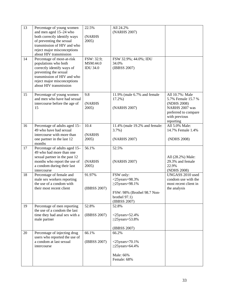| 13 | Percentage of young women<br>and men aged 15-24 who<br>both correctly identify ways<br>of preventing the sexual                                                                                   | 22.5%<br>(NARHS<br>2005)                  | All 24.2%<br>(NARHS 2007)                                                                                                 |                                                                                                                              |
|----|---------------------------------------------------------------------------------------------------------------------------------------------------------------------------------------------------|-------------------------------------------|---------------------------------------------------------------------------------------------------------------------------|------------------------------------------------------------------------------------------------------------------------------|
|    | transmission of HIV and who<br>reject major misconceptions<br>about HIV transmission                                                                                                              |                                           |                                                                                                                           |                                                                                                                              |
| 14 | Percentage of most-at-risk<br>populations who both<br>correctly identify ways of<br>preventing the sexual<br>transmission of HIV and who<br>reject major misconceptions<br>about HIV transmission | FSW: 32.9;<br>MSM:44.0<br><b>IDU 34.0</b> | FSW 32.9%; 44.0%; IDU<br>34.0%<br>(IBBSS 2007)                                                                            |                                                                                                                              |
| 15 | Percentage of young women<br>and men who have had sexual<br>intercourse before the age of<br>15                                                                                                   | 9.8<br>(NARHS<br>2005)                    | 11.9% (male 6.7% and female<br>$17.2%$ )<br>(NARHS 2007)                                                                  | All 10.7%: Male<br>5.7% Female 15.7 %<br>(NDHS 2008)<br>NARHS 2007 was<br>preferred to compare<br>with previous<br>reporting |
| 16 | Percentage of adults aged 15-<br>49 who have had sexual<br>intercourse with more than<br>one partner in the last 12<br>months                                                                     | 10.4<br>(NARHS<br>2005)                   | 11.4% (male 19.2% and female:<br>$3.7%$ )<br>(NARHS 2007)                                                                 | All 5.0% Male:<br>14.7% Female 1.4%<br>(NDHS 2008)                                                                           |
| 17 | Percentage of adults aged 15-<br>49 who had more than one<br>sexual partner in the past 12<br>months who report the use of<br>a condom during their last<br>intercourse                           | 56.1%<br>(NARHS<br>2005)                  | 52.5%<br>(NARHS 2007)                                                                                                     | All (28.2%) Male:<br>29.3% and female<br>22.9%<br>(NDHS 2008)                                                                |
| 18 | Percentage of female and<br>male sex workers reporting<br>the use of a condom with<br>their most recent client                                                                                    | 91.97%<br>(IBBSS 2007)                    | FSW only:<br>$<$ 25years=98.3%<br>$\geq$ 25years=98.1%<br>FSW: 98% (Brothel 98.7 Non-<br>brothel $97.1$ )<br>(IBBSS 2007) | UNGASS 2010 used<br>condom use with the<br>most recent client in<br>the analysis                                             |
| 19 | Percentage of men reporting<br>the use of a condom the last<br>time they had anal sex with a<br>male partner                                                                                      | 52.8%<br>(IBBSS 2007)                     | 52.8%<br>$<$ 25years=52.4%<br>$\geq$ 25years=53.8%<br>(IBBSS 2007)                                                        |                                                                                                                              |
| 20 | Percentage of injecting drug<br>users who reported the use of<br>a condom at last sexual<br>intercourse                                                                                           | 66.1%<br>(IBBSS 2007)                     | 66.2%<br>$<$ 25years=70.1%<br>$\geq$ 25years=64.4%<br>Male: 66%<br>Female: 68%                                            |                                                                                                                              |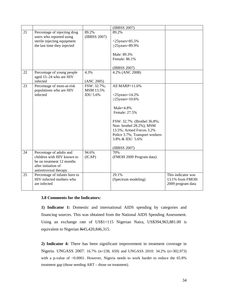|    |                                                                                                                                      |                                             | (IBBSS 2007)                                                                                                                                                                                                                                            |                                                            |
|----|--------------------------------------------------------------------------------------------------------------------------------------|---------------------------------------------|---------------------------------------------------------------------------------------------------------------------------------------------------------------------------------------------------------------------------------------------------------|------------------------------------------------------------|
| 21 | Percentage of injecting drug<br>users who reported using<br>sterile injecting equipment<br>the last time they injected               | 89.2%<br>(IBBSS 2007)                       | 89.2%<br>$<$ 25years=85.5%<br>$\geq$ 25years=89.9%<br>Male: 89.3%<br>Female: 86.1%<br>(IBBSS 2007)                                                                                                                                                      |                                                            |
| 22 | Percentage of young people<br>aged 15-24 who are HIV<br>infected                                                                     | 4.3%<br>(ANC 2005)                          | 4.2% (ANC 2008)                                                                                                                                                                                                                                         |                                                            |
| 23 | Percentage of most-at-risk<br>populations who are HIV<br>infected                                                                    | FSW: 32.7%;<br>MSM:13.5%<br><b>IDU 5.6%</b> | All MARP=11.6%<br>$<$ 25years=14.2%<br>$\geq$ 25years=10.6%<br>$Male = 4.8%$<br>Female: 27.5%<br>FSW: 32.7% (Brothel 36.8%;<br>Non-brothel 28.2%); MSM<br>13.5%; Armed Forces 3.2%<br>Police 3.7%; Transport workers<br>3.8% & IDU 5.6%<br>(IBBSS 2007) |                                                            |
| 24 | Percentage of adults and<br>children with HIV known to<br>be on treatment 12 months<br>after initiation of<br>antiretroviral therapy | 94.6%<br>(ICAP)                             | 70%<br>(FMOH 2009 Program data)                                                                                                                                                                                                                         |                                                            |
| 25 | Percentage of infants born to<br>HIV-infected mothers who<br>are infected                                                            |                                             | 29.1%<br>(Spectrum modeling)                                                                                                                                                                                                                            | This indicator was<br>13.1% from FMOH<br>2009 program data |

#### **3.8 Comments for the Indicators:**

**1) Indicator 1:** Domestic and international AIDS spending by categories and financing sources. This was obtained from the National AIDS Spending Assessment. Using an exchange rate of US\$1=115 Nigerian Naira, US\$394,963,881.00 is equivalent to Nigerian N45,420,846,315.

**2) Indicator 4:** There has been significant improvement in treatment coverage in Nigeria. UNGASS 2007: 16.7% (n=238, 659) and UNGASS 2010: 34.2% (n=302,973) with a p-value of <0.0001. However, Nigeria needs to work harder to reduce the 65.8% treatment gap (those needing ART – those on treatment).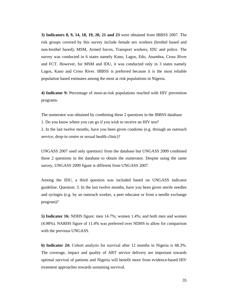**3) Indicators 8, 9, 14, 18, 19, 20, 21 and 23** were obtained from IBBSS 2007. The risk groups covered by this survey include female sex workers (brothel based and non-brothel based); MSM, Armed forces, Transport workers, IDU and police. The survey was conducted in 6 states namely Kano, Lagos, Edo, Anambra, Cross River and FCT. However, for MSM and IDU, it was conducted only in 3 states namely Lagos, Kano and Cross River. IBBSS is preferred because it is the most reliable population based estimates among the most at risk populations in Nigeria.

**4) Indicator 9:** Percentage of most-at-risk populations reached with HIV prevention programs.

The numerator was obtained by combining these 2 questions in the IBBSS database 1. Do you know where you can go if you wish to receive an HIV test? 2. In the last twelve months, have you been given condoms (e.g. through an outreach service, drop-in centre or sexual health clinic)?

UNGASS 2007 used only question1 from the database but UNGASS 2009 combined these 2 questions in the database to obtain the numerator. Despite using the same survey, UNGASS 2009 figure is different from UNGASS 2007.

Among the IDU, a third question was included based on UNGASS indicator guideline. Question: 3. In the last twelve months, have you been given sterile needles and syringes (e.g. by an outreach worker, a peer educator or from a needle exchange program)?

**5) Indicator 16:** NDHS figure: men 14.7%; women 1.4%; and both men and women (4.98%). NARHS figure of 11.4% was preferred over NDHS to allow for comparison with the previous UNGASS.

**6) Indicator 24:** Cohort analysis for survival after 12 months in Nigeria is 68.3%. The coverage, impact and quality of ART service delivery are important towards optimal survival of patients and Nigeria will benefit more from evidence-based HIV treatment approaches towards sustaining survival.

35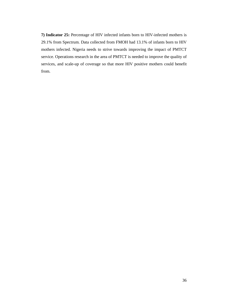**7) Indicator 25:** Percentage of HIV infected infants born to HIV-infected mothers is 29.1% from Spectrum. Data collected from FMOH had 13.1% of infants born to HIV mothers infected. Nigeria needs to strive towards improving the impact of PMTCT service. Operations research in the area of PMTCT is needed to improve the quality of services, and scale-up of coverage so that more HIV positive mothers could benefit from.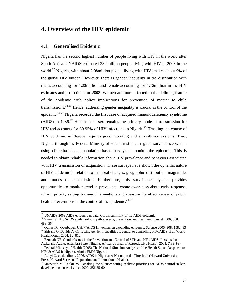# **4. Overview of the HIV epidemic**

## **4.1. Generalised Epidemic**

Nigeria has the second highest number of people living with HIV in the world after South Africa. UNAIDS estimated 33.4million people living with HIV in 2008 in the world.<sup>17</sup> Nigeria, with about 2.98 million people living with HIV, makes about 9% of the global HIV burden. However, there is gender inequality in the distribution with males accounting for 1.23million and female accounting for 1.72million in the HIV estimates and projections for 2008. Women are more affected in the defining feature of the epidemic with policy implications for prevention of mother to child transmissions.<sup>18,19</sup> Hence, addressing gender inequality is crucial in the control of the epidemic.<sup>20,21</sup> Nigeria recorded the first case of acquired immunodeficiency syndrome (AIDS) in  $1986<sup>22</sup>$  Heterosexual sex remains the primary mode of transmission for HIV and accounts for 80-95% of HIV infections in Nigeria.<sup>23</sup> Tracking the course of HIV epidemic in Nigeria requires good reporting and surveillance systems. Thus, Nigeria through the Federal Ministry of Health instituted regular surveillance system using clinic-based and population-based surveys to monitor the epidemic. This is needed to obtain reliable information about HIV prevalence and behaviors associated with HIV transmission or acquisition. These surveys have shown the dynamic nature of HIV epidemic in relation to temporal changes, geographic distribution, magnitude, and modes of transmission. Furthermore, this surveillance system provides opportunities to monitor trend in prevalence, create awareness about early response, inform priority setting for new interventions and measure the effectiveness of public health interventions in the control of the epidemic.<sup>24,25</sup>

 $\overline{\phantom{a}}$ 

<sup>&</sup>lt;sup>17</sup> UNAIDS 2009 AIDS epidemic update: Global summary of the AIDS epidemic

<sup>&</sup>lt;sup>18</sup> Simon V. HIV/AIDS epidemiology, pathogenesis, prevention, and treatment. Lancet 2006; 368: 489–504

<sup>19</sup> Quinn TC, Overbaugh J. HIV/AIDS in women: an expanding epidemic. Science 2005; 308: 1582–83

<sup>&</sup>lt;sup>20</sup> Shisana O, Davids A. Correcting gender inequalities is central to controlling HIV/AIDS. Bull World Health Organ 2004; 82: 812

Ezumah NE. Gender Issues in the Prevention and Control of STIs and HIV/AIDS; Lessons from Awka and Agulu, Anambra State, Nigeria. African Journal of Reproductive Health, 2003: 7:89{99}<br><sup>22</sup> Federal Ministry of Health (2005) The National Situation Analysis of the Health Sector Response to HIV & AIDS in Nigeria. Abuja: FMH Nigeria

<sup>&</sup>lt;sup>23</sup> Adevi O, et al, editors. 2006. AIDS in Nigeria; A Nation on the Threshold (Harvard University Press, Harvard Series on Population and International Health).

<sup>&</sup>lt;sup>24</sup>Ainsworth M, Teokul W. Breaking the silence: setting realistic priorities for AIDS control in lessdeveloped countries. Lancet 2000; 356:55-60.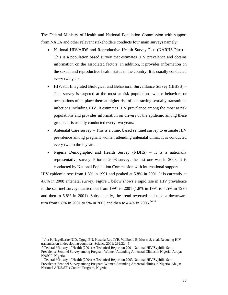The Federal Ministry of Health and National Population Commission with support from NACA and other relevant stakeholders conducts four main surveys namely:

- National HIV/AIDS and Reproductive Health Survey Plus (NARHS Plus) This is a population based survey that estimates HIV prevalence and obtains information on the associated factors. In addition, it provides information on the sexual and reproductive health status in the country. It is usually conducted every two years.
- HIV/STI Integrated Biological and Behavioral Surveillance Survey (IBBSS) This survey is targeted at the most at risk populations whose behaviors or occupations often place them at higher risk of contracting sexually transmitted infections including HIV. It estimates HIV prevalence among the most at risk populations and provides information on drivers of the epidemic among these groups. It is usually conducted every two years.
- Antenatal Care survey This is a clinic based sentinel survey to estimate HIV prevalence among pregnant women attending antenatal clinic. It is conducted every two to three years.
- Nigeria Demographic and Health Survey (NDHS) It is a nationally representative survey. Prior to 2008 survey, the last one was in 2003. It is conducted by National Population Commission with international support.

HIV epidemic rose from 1.8% in 1991 and peaked at 5.8% in 2001. It is currently at 4.6% in 2008 antenatal survey. Figure 1 below shows a rapid rise in HIV prevalence in the sentinel surveys carried out from 1991 to 2001 (1.8% in 1991 to 4.5% in 1996 and then to 5.8% in 2001). Subsequently, the trend reversed and took a downward turn from 5.8% in 2001 to 5% in 2003 and then to 4.4% in 2005.<sup>26,27</sup>

<sup>&</sup>lt;sup>25</sup> Jha P, Nagelkerke NJD, Ngugi EN, Prasada Rao JVR, Willbond B, Moses S, et al. Reducing HIV transmission in developing countries. Science 2001; 292:224-5

<sup>&</sup>lt;sup>26</sup> Federal Ministry of Health (2001) A Technical Report on 2001 National HIV/Syphilis Sero-Prevalence Sentinel Survey among Pregnant Women Attending Antenatal Clinics in Nigeria. Abuja: NASCP, Nigeria.

<sup>27</sup> Federal Ministry of Health (2004) A Technical Report on 2003 National HIV/Syphilis Sero-Prevalence Sentinel Survey among Pregnant Women Attending Antenatal clinics in Nigeria. Abuja: National AIDS/STIs Control Program, Nigeria.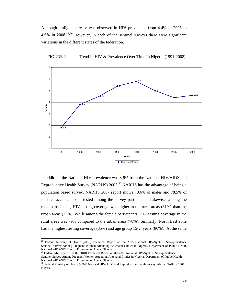Although a slight increase was observed in HIV prevalence from 4.4% in 2005 to 4.6% in 2008.28,29 However, in each of the sentinel surveys there were significant variations in the different states of the federation.





In addition, the National HIV prevalence was 3.6% from the National HIV/AIDS and Reproductive Health Survey (NARHS)  $2007<sup>30</sup>$  NARHS has the advantage of being a population based survey. NARHS 2007 report shows 78.6% of males and 78.5% of females accepted to be tested among the survey participants. Likewise, among the male participants, HIV testing coverage was higher in the rural areas (81%) than the urban areas (75%). While among the female participants, HIV testing coverage in the rural areas was 79% compared to the urban areas (78%). Similarly, North East zone had the highest testing coverage (85%) and age group 15-24years (80%). At the same

 $\overline{a}$ 

 $^{28}$  Federal Ministry of Health (2005) Technical Report on the 2005 National HIV/Syphilis Sero-prevalence Sentinel Survey Among Pregnant Women Attending Antenatal Clinics in Nigeria. Department of Public Health National AIDS/STI Control Programme. Abuja: Nigeria.

<sup>&</sup>lt;sup>29</sup> Federal Ministry of Health (2010) Technical Report on the 2008 National HIV/Syphilis Sero-prevalence Sentinel Survey Among Pregnant Women Attending Antenatal Clinics in Nigeria. Department of Public Health National AIDS/STI Control Programme. Abuja: Nigeria.

<sup>&</sup>lt;sup>30</sup> Federal Ministry of Health (2009) National HIV/AIDS and Reproductive Health Survey. Abuja (NARHS 2007), Nigeria.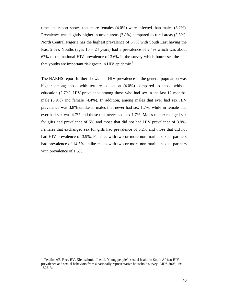time, the report shows that more females (4.0%) were infected than males (3.2%). Prevalence was slightly higher in urban areas (3.8%) compared to rural areas (3.5%). North Central Nigeria has the highest prevalence of 5.7% with South East having the least 2.6%. Youths (ages  $15 - 24$  years) had a prevalence of 2.4% which was about 67% of the national HIV prevalence of 3.6% in the survey which buttresses the fact that youths are important risk group in HIV epidemic.<sup>31</sup>

The NARHS report further shows that HIV prevalence in the general population was higher among those with tertiary education (4.0%) compared to those without education (2.7%). HIV prevalence among those who had sex in the last 12 months: male (3.9%) and female (4.4%). In addition, among males that ever had sex HIV prevalence was 3.8% unlike in males that never had sex 1.7%, while in female that ever had sex was 4.7% and those that never had sex 1.7%. Males that exchanged sex for gifts had prevalence of 5% and those that did not had HIV prevalence of 3.9%. Females that exchanged sex for gifts had prevalence of 5.2% and those that did not had HIV prevalence of 3.9%. Females with two or more non-marital sexual partners had prevalence of 14.5% unlike males with two or more non-marital sexual partners with prevalence of 1.5%.

<sup>&</sup>lt;sup>31</sup> Pettifor AE, Rees HV, Kleinschmidt I, et al. Young people's sexual health in South Africa: HIV prevalence and sexual behaviors from a nationally representative household survey. AIDS 2005; 19: 1525–34.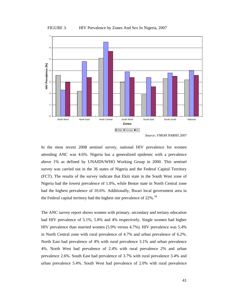

*Source: FMOH NARHS 2007* 

In the most recent 2008 sentinel survey, national HIV prevalence for women attending ANC was 4.6%. Nigeria has a generalized epidemic with a prevalence above 1% as defined by UNAIDS/WHO Working Group in 2000. This sentinel survey was carried out in the 36 states of Nigeria and the Federal Capital Territory (FCT). The results of the survey indicate that Ekiti state in the South West zone of Nigeria had the lowest prevalence of 1.0%, while Benue state in North Central zone had the highest prevalence of 10.6%. Additionally, Bwari local government area in the Federal capital territory had the highest site prevalence of  $22\%$ .<sup>34</sup>

The ANC survey report shows women with primary, secondary and tertiary education had HIV prevalence of 5.1%, 5.8% and 4% respectively. Single women had higher HIV prevalence than married women (5.9% versus 4.7%). HIV prevalence was 5.4% in North Central zone with rural prevalence of 4.7% and urban prevalence of 6.2%. North East had prevalence of 4% with rural prevalence 3.1% and urban prevalence 4%. North West had prevalence of 2.4% with rural prevalence 2% and urban prevalence 2.6%. South East had prevalence of 3.7% with rural prevalence 3.4% and urban prevalence 5.4%. South West had prevalence of 2.0% with rural prevalence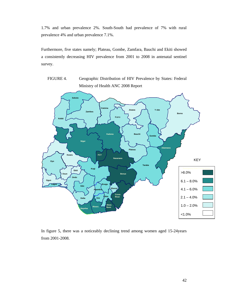1.7% and urban prevalence 2%. South-South had prevalence of 7% with rural prevalence 4% and urban prevalence 7.1%.

Furthermore, five states namely; Plateau, Gombe, Zamfara, Bauchi and Ekiti showed a consistently decreasing HIV prevalence from 2001 to 2008 in antenatal sentinel survey.

FIGURE 4. Geographic Distribution of HIV Prevalence by States: Federal Ministry of Health ANC 2008 Report



In figure 5, there was a noticeably declining trend among women aged 15-24years from 2001-2008.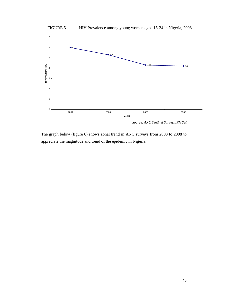

FIGURE 5. HIV Prevalence among young women aged 15-24 in Nigeria, 2008

*Source: ANC Sentinel Surveys, FMOH* 

The graph below (figure 6) shows zonal trend in ANC surveys from 2003 to 2008 to appreciate the magnitude and trend of the epidemic in Nigeria.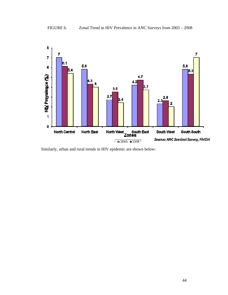

Similarly, urban and rural trends in HIV epidemic are shown below: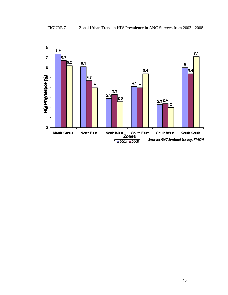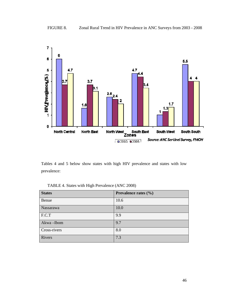

Tables 4 and 5 below show states with high HIV prevalence and states with low prevalence:

TABLE 4. States with High Prevalence (ANC 2008)

| <b>States</b> | Prevalence rates $(\% )$ |
|---------------|--------------------------|
| Benue         | 10.6                     |
| Nassarawa     | 10.0                     |
| F.C.T         | 9.9                      |
| Akwa-Ibom     | 9.7                      |
| Cross-rivers  | 8.0                      |
| Rivers        | 7.3                      |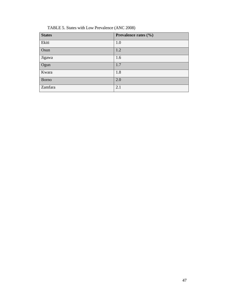|  |  | TABLE 5. States with Low Prevalence (ANC 2008) |
|--|--|------------------------------------------------|
|  |  |                                                |

| <b>States</b> | Prevalence rates (%) |
|---------------|----------------------|
| Ekiti         | 1.0                  |
| Osun          | 1.2                  |
| Jigawa        | 1.6                  |
| Ogun          | 1.7                  |
| Kwara         | 1.8                  |
| <b>Borno</b>  | 2.0                  |
| Zamfara       | 2.1                  |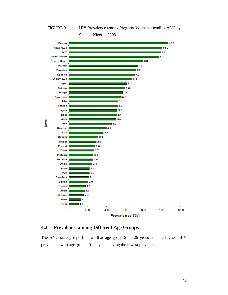FIGURE 9. HIV Prevalence among Pregnant Women attending ANC by State in Nigeria, 2008



## **4.2. Prevalence among Different Age Groups**

The ANC survey report shows that age group  $25 - 29$  years had the highest HIV prevalence with age group 40- 44 years having the lowest prevalence.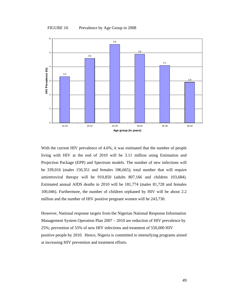



With the current HIV prevalence of 4.6%, it was estimated that the number of people living with HIV at the end of 2010 will be 3.11 million using Estimation and Projection Package (EPP) and Spectrum models. The number of new infections will be 339,016 (males 150,351 and females 186,665); total number that will require antiretroviral therapy will be 910,850 (adults 807,166 and children 103,684). Estimated annual AIDS deaths in 2010 will be 181,774 (males 81,728 and females 100,046). Furthermore, the number of children orphaned by HIV will be about 2.2 million and the number of HIV positive pregnant women will be 243,730.

However, National response targets from the Nigerian National Response Information Management System Operation Plan 2007 – 2010 are reduction of HIV prevalence by 25%; prevention of 55% of new HIV infections and treatment of 550,000 HIV positive people by 2010. Hence, Nigeria is committed to intensifying programs aimed at increasing HIV prevention and treatment efforts.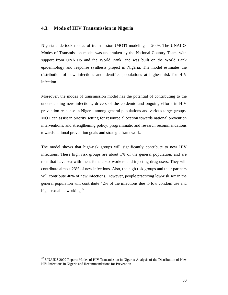## **4.3. Mode of HIV Transmission in Nigeria**

Nigeria undertook modes of transmission (MOT) modeling in 2009. The UNAIDS Modes of Transmission model was undertaken by the National Country Team, with support from UNAIDS and the World Bank, and was built on the World Bank epidemiology and response synthesis project in Nigeria. The model estimates the distribution of new infections and identifies populations at highest risk for HIV infection.

Moreover, the modes of transmission model has the potential of contributing to the understanding new infections, drivers of the epidemic and ongoing efforts in HIV prevention response in Nigeria among general populations and various target groups. MOT can assist in priority setting for resource allocation towards national prevention interventions, and strengthening policy, programmatic and research recommendations towards national prevention goals and strategic framework.

The model shows that high-risk groups will significantly contribute to new HIV infections. These high risk groups are about 1% of the general population, and are men that have sex with men, female sex workers and injecting drug users. They will contribute almost 23% of new infections. Also, the high risk groups and their partners will contribute 40% of new infections. However, people practicing low-risk sex in the general population will contribute 42% of the infections due to low condom use and high sexual networking. $32$ 

 $\overline{a}$ 

 $32$  UNAIDS 2009 Report: Modes of HIV Transmission in Nigeria: Analysis of the Distribution of New HIV Infections in Nigeria and Recommendations for Prevention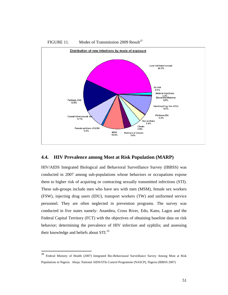

# FIGURE 11. Modes of Transmission 2009 Result<sup>37</sup>

## **4.4. HIV Prevalence among Most at Risk Population (MARP)**

HIV/AIDS Integrated Biological and Behavioral Surveillance Survey (IBBSS) was conducted in 2007 among sub-populations whose behaviors or occupations expose them to higher risk of acquiring or contracting sexually transmitted infections (STI). These sub-groups include men who have sex with men (MSM), female sex workers (FSW), injecting drug users (IDU), transport workers (TW) and uniformed service personnel. They are often neglected in prevention programs. The survey was conducted in five states namely: Anambra, Cross River, Edo, Kano, Lagos and the Federal Capital Territory (FCT) with the objectives of obtaining baseline data on risk behavior; determining the prevalence of HIV infection and syphilis; and assessing their knowledge and beliefs about STI.<sup>33</sup>

<sup>38</sup> <sup>38</sup> Federal Ministry of Health (2007) Integrated Bio-Behavioural Surveillance Survey Among Most at Risk Populations in Nigeria. Abuja: National AIDS/STIs Control Programme (NASCP), Nigeria (IBBSS 2007)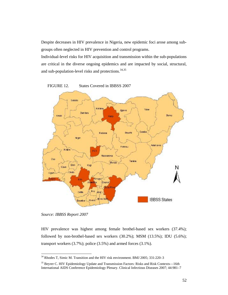Despite decreases in HIV prevalence in Nigeria, new epidemic foci arose among subgroups often neglected in HIV prevention and control programs.

Individual-level risks for HIV acquisition and transmission within the sub-populations are critical in the diverse ongoing epidemics and are impacted by social, structural, and sub-population-level risks and protections.<sup>34,35</sup>



*Source: IBBSS Report 2007* 

l

HIV prevalence was highest among female brothel-based sex workers (37.4%); followed by non-brothel-based sex workers (30.2%); MSM (13.5%); IDU (5.6%); transport workers (3.7%); police (3.5%) and armed forces (3.1%).

 $34$  Rhodes T, Simic M. Transition and the HIV risk environment. BMJ 2005; 331:220–3

<sup>&</sup>lt;sup>35</sup> Beyrer C. HIV Epidemiology Update and Transmission Factors: Risks and Risk Contexts—16th International AIDS Conference Epidemiology Plenary. Clinical Infectious Diseases 2007; 44:981–7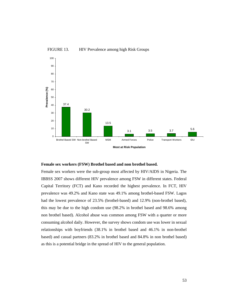

## FIGURE 13. HIV Prevalence among high Risk Groups

#### **Female sex workers (FSW) Brothel based and non brothel based.**

Female sex workers were the sub-group most affected by HIV/AIDS in Nigeria. The IBBSS 2007 shows different HIV prevalence among FSW in different states. Federal Capital Territory (FCT) and Kano recorded the highest prevalence. In FCT, HIV prevalence was 49.2% and Kano state was 49.1% among brothel-based FSW. Lagos had the lowest prevalence of 23.5% (brothel-based) and 12.9% (non-brothel based), this may be due to the high condom use (98.2% in brothel based and 98.6% among non brothel based). Alcohol abuse was common among FSW with a quarter or more consuming alcohol daily. However, the survey shows condom use was lower in sexual relationships with boyfriends (38.1% in brothel based and 46.1% in non-brothel based) and casual partners (83.2% in brothel based and 84.8% in non brothel based) as this is a potential bridge in the spread of HIV to the general population.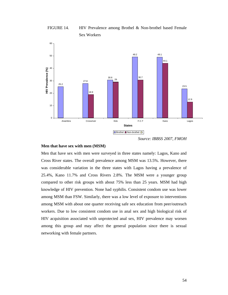FIGURE 14. HIV Prevalence among Brothel & Non-brothel based Female Sex Workers





### **Men that have sex with men (MSM)**

Men that have sex with men were surveyed in three states namely: Lagos, Kano and Cross River states. The overall prevalence among MSM was 13.5%. However, there was considerable variation in the three states with Lagos having a prevalence of 25.4%, Kano 11.7% and Cross Rivers 2.8%. The MSM were a younger group compared to other risk groups with about 75% less than 25 years. MSM had high knowledge of HIV prevention. None had syphilis. Consistent condom use was lower among MSM than FSW. Similarly, there was a low level of exposure to interventions among MSM with about one quarter receiving safe sex education from peer/outreach workers. Due to low consistent condom use in anal sex and high biological risk of HIV acquisition associated with unprotected anal sex, HIV prevalence may worsen among this group and may affect the general population since there is sexual networking with female partners.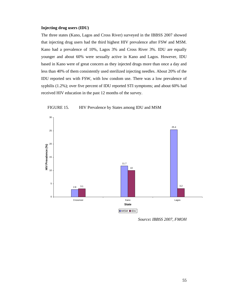#### **Injecting drug users (IDU)**

The three states (Kano, Lagos and Cross River) surveyed in the IBBSS 2007 showed that injecting drug users had the third highest HIV prevalence after FSW and MSM. Kano had a prevalence of 10%, Lagos 3% and Cross River 3%. IDU are equally younger and about 60% were sexually active in Kano and Lagos. However, IDU based in Kano were of great concern as they injected drugs more than once a day and less than 40% of them consistently used sterilized injecting needles. About 20% of the IDU reported sex with FSW, with low condom use. There was a low prevalence of syphilis (1.2%); over five percent of IDU reported STI symptoms; and about 60% had received HIV education in the past 12 months of the survey.



FIGURE 15. HIV Prevalence by States among IDU and MSM

*Source: IBBSS 2007, FMOH*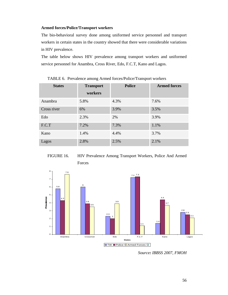### **Armed forces/Police/Transport workers**

The bio-behavioral survey done among uniformed service personnel and transport workers in certain states in the country showed that there were considerable variations in HIV prevalence.

The table below shows HIV prevalence among transport workers and uniformed service personnel for Anambra, Cross River, Edo, F.C.T, Kano and Lagos.

| <b>States</b> | <b>Transport</b> | <b>Police</b> | <b>Armed forces</b> |
|---------------|------------------|---------------|---------------------|
|               | workers          |               |                     |
| Anambra       | 5.8%             | 4.3%          | 7.6%                |
| Cross river   | 6%               | 3.9%          | 3.5%                |
| Edo           | 2.3%             | 2%            | 3.9%                |
| F.C.T         | 7.2%             | 7.3%          | 1.1%                |
| Kano          | 1.4%             | 4.4%          | 3.7%                |
| Lagos         | 2.8%             | 2.5%          | 2.1%                |

TABLE 6. Prevalence among Armed forces/Police/Transport workers





*Source: IBBSS 2007, FMOH*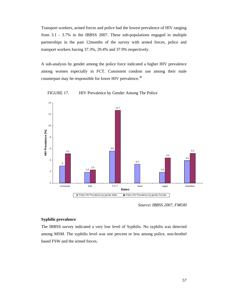Transport workers, armed forces and police had the lowest prevalence of HIV ranging from 3.1 - 3.7% in the IBBSS 2007. These sub-populations engaged in multiple partnerships in the past 12months of the survey with armed forces, police and transport workers having 37.3%, 29.4% and 37.9% respectively.

A sub-analysis by gender among the police force indicated a higher HIV prevalence among women especially in FCT. Consistent condom use among their male counterpart may be responsible for lower HIV prevalence.<sup>38</sup>





*Source: IBBSS 2007, FMOH*

#### **Syphilis prevalence**

The IBBSS survey indicated a very low level of Syphilis. No syphilis was detected among MSM. The syphilis level was one percent or less among police, non-brothel based FSW and the armed forces.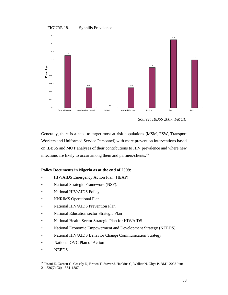



*Source: IBBSS 2007, FMOH*

Generally, there is a need to target most at risk populations (MSM, FSW, Transport Workers and Uniformed Service Personnel) with more prevention interventions based on IBBSS and MOT analyses of their contributions to HIV prevalence and where new infections are likely to occur among them and partners/clients.<sup>36</sup>

## **Policy Documents in Nigeria as at the end of 2009:**

- HIV/AIDS Emergency Action Plan (HEAP)
- National Strategic Framework (NSF).
- National HIV/AIDS Policy
- NNRIMS Operational Plan
- National HIV/AIDS Prevention Plan.
- National Education sector Strategic Plan
- National Health Sector Strategic Plan for HIV/AIDS
- National Economic Empowerment and Development Strategy (NEEDS).
- National HIV/AIDS Behavior Change Communication Strategy
- National OVC Plan of Action
- NEEDS

l

<sup>36</sup> Pisani E, Garnett G, Grassly N, Brown T, Stover J, Hankins C, Walker N, Ghys P. BMJ. 2003 June 21; 326(7403): 1384–1387.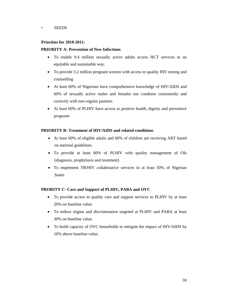### • SEEDS

## **Priorities for 2010-2011:**

## **PRIORITY A: Prevention of New Infections**

- To enable 9.4 million sexually active adults access HCT services in an equitable and sustainable way.
- To provide 3.2 million pregnant women with access to quality HIV testing and counselling
- At least 60% of Nigerians have comprehensive knowledge of HIV/AIDS and 60% of sexually active males and females use condoms consistently and correctly with non-regular partners
- At least 60% of PLHIV have access to positive health, dignity and preventive programs

## **PRIORITY B- Treatment of HIV/AIDS and related conditions**

- At least 60% of eligible adults and 60% of children are receiving ART based on national guidelines.
- To provide at least 60% of PLHIV with quality management of OIs (diagnosis, prophylaxis and treatment)
- To implement TB/HIV collaborative services in at least 50% of Nigerian **States**

## **PRORITY C- Care and Support of PLHIV, PABA and OVC**

- To provide access to quality care and support services to PLHIV by at least 20% on baseline value.
- To reduce stigma and discrimination targeted at PLHIV and PABA at least 30% on baseline value.
- To build capacity of OVC households to mitigate the impact of HIV/AIDS by 10% above baseline value.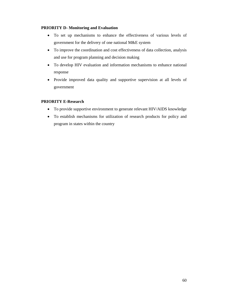## **PRIORITY D- Monitoring and Evaluation**

- To set up mechanisms to enhance the effectiveness of various levels of government for the delivery of one national M&E system
- To improve the coordination and cost effectiveness of data collection, analysis and use for program planning and decision making
- To develop HIV evaluation and information mechanisms to enhance national response
- Provide improved data quality and supportive supervision at all levels of government

## **PRIORITY E-Research**

- To provide supportive environment to generate relevant HIV/AIDS knowledge
- To establish mechanisms for utilization of research products for policy and program in states within the country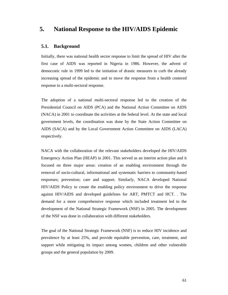# **5. National Response to the HIV/AIDS Epidemic**

### **5.1. Background**

Initially, there was national health sector response to limit the spread of HIV after the first case of AIDS was reported in Nigeria in 1986. However, the advent of democratic rule in 1999 led to the initiation of drastic measures to curb the already increasing spread of the epidemic and to move the response from a health centered response to a multi-sectoral response.

The adoption of a national multi-sectoral response led to the creation of the Presidential Council on AIDS (PCA) and the National Action Committee on AIDS (NACA) in 2001 to coordinate the activities at the federal level. At the state and local government levels, the coordination was done by the State Action Committee on AIDS (SACA) and by the Local Government Action Committee on AIDS (LACA) respectively.

NACA with the collaboration of the relevant stakeholders developed the HIV/AIDS Emergency Action Plan (HEAP) in 2001. This served as an interim action plan and it focused on three major areas: creation of an enabling environment through the removal of socio-cultural, informational and systematic barriers to community-based responses; prevention; care and support. Similarly, NACA developed National HIV/AIDS Policy to create the enabling policy environment to drive the response against HIV/AIDS and developed guidelines for ART, PMTCT and HCT. . The demand for a more comprehensive response which included treatment led to the development of the National Strategic Framework (NSF) in 2005. The development of the NSF was done in collaboration with different stakeholders.

The goal of the National Strategic Framework (NSF) is to reduce HIV incidence and prevalence by at least 25%, and provide equitable prevention, care, treatment, and support while mitigating its impact among women, children and other vulnerable groups and the general population by 2009.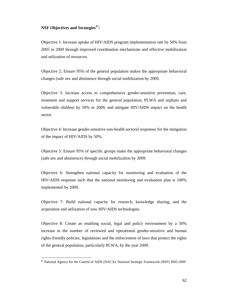## **NSF Objectives and Strategies37:**

Objective 1: Increase uptake of HIV/AIDS program implementation rate by 50% from 2005 to 2009 through improved coordination mechanisms and effective mobilization and utilization of resources.

Objective 2: Ensure 95% of the general population makes the appropriate behavioral changes (safe sex and abstinence through social mobilization by 2009.

Objective 3: Increase access to comprehensive gender-sensitive prevention, care, treatment and support services for the general population, PLWA and orphans and vulnerable children by 50% in 2009, and mitigate HIV/AIDS impact on the health sector.

Objective 4: Increase gender-sensitive non-health sectoral responses for the mitigation of the impact of HIV/AIDS by 50%.

Objective 5: Ensure 95% of specific groups make the appropriate behavioral changes (safe sex and abstinence) through social mobilization by 2009.

Objective 6: Strengthen national capacity for monitoring and evaluation of the HIV/AIDS response such that the national monitoring and evaluation plan is 100% implemented by 2009.

Objective 7: Build national capacity for research, knowledge sharing, and the acquisition and utilization of new HIV/AIDS technologies.

Objective 8: Create an enabling social, legal and policy environment by a 50% increase in the number of reviewed and operational gender-sensitive and human rights-friendly policies, legislations and the enforcement of laws that protect the rights of the general population, particularly PLWA, by the year 2009.

l

<sup>&</sup>lt;sup>42</sup> National Agency for the Control of AIDS (NACA): National Strategic Framework (NSF) 2005-2009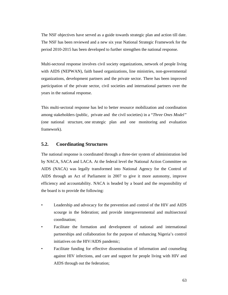The NSF objectives have served as a guide towards strategic plan and action till date. The NSF has been reviewed and a new six year National Strategic Framework for the period 2010-2015 has been developed to further strengthen the national response.

Multi-sectoral response involves civil society organizations, network of people living with AIDS (NEPWAN), faith based organizations, line ministries, non-governmental organizations, development partners and the private sector. There has been improved participation of the private sector, civil societies and international partners over the years in the national response.

This multi-sectoral response has led to better resource mobilization and coordination among stakeholders (public, private and the civil societies) in a "*Three Ones Model"* (one national structure, one strategic plan and one monitoring and evaluation framework).

# **5.2. Coordinating Structures**

The national response is coordinated through a three-tier system of administration led by NACA, SACA and LACA. At the federal level the National Action Committee on AIDS (NACA) was legally transformed into National Agency for the Control of AIDS through an Act of Parliament in 2007 to give it more autonomy, improve efficiency and accountability. NACA is headed by a board and the responsibility of the board is to provide the following:

- Leadership and advocacy for the prevention and control of the HIV and AIDS scourge in the federation; and provide intergovernmental and multisectoral coordination;
- Facilitate the formation and development of national and international partnerships and collaboration for the purpose of enhancing Nigeria's control initiatives on the HIV/AIDS pandemic;
- Facilitate funding for effective dissemination of information and counseling against HIV infections, and care and support for people living with HIV and AIDS through out the federation;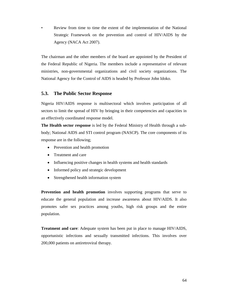Review from time to time the extent of the implementation of the National Strategic Framework on the prevention and control of HIV/AIDS by the Agency (NACA Act 2007).

The chairman and the other members of the board are appointed by the President of the Federal Republic of Nigeria. The members include a representative of relevant ministries, non-governmental organizations and civil society organizations. The National Agency for the Control of AIDS is headed by Professor John Idoko.

## **5.3. The Public Sector Response**

Nigeria HIV/AIDS response is multisectoral which involves participation of all sectors to limit the spread of HIV by bringing in their competencies and capacities in an effectively coordinated response model.

**The Health sector response** is led by the Federal Ministry of Health through a subbody; National AIDS and STI control program (NASCP). The core components of its response are in the following;

- Prevention and health promotion
- Treatment and care
- Influencing positive changes in health systems and health standards
- Informed policy and strategic development
- Strengthened health information system

**Prevention and health promotion** involves supporting programs that serve to educate the general population and increase awareness about HIV/AIDS. It also promotes safer sex practices among youths, high risk groups and the entire population.

**Treatment and care**: Adequate system has been put in place to manage HIV/AIDS, opportunistic infections and sexually transmitted infections. This involves over 200,000 patients on antiretroviral therapy.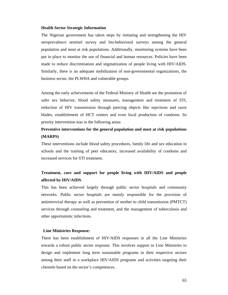#### **Health Sector Strategic Information**

The Nigerian government has taken steps by initiating and strengthening the HIV seroprevalence sentinel survey and bio-behavioral surveys among the general population and most at risk populations. Additionally, monitoring systems have been put in place to monitor the use of financial and human resources. Policies have been made to reduce discrimination and stigmatization of people living with HIV/AIDS. Similarly, there is an adequate mobilization of non-governmental organizations, the business sector, the PLWHA and vulnerable groups.

Among the early achievements of the Federal Ministry of Health are the promotion of safer sex behavior, blood safety measures, management and treatment of STI, reduction of HIV transmission through piercing objects like injections and razor blades, establishment of HCT centers and even local production of condoms. Its priority intervention was in the following areas:

# **Preventive interventions for the general population and most at risk populations (MARPS)**

These interventions include blood safety procedures, family life and sex education in schools and the training of peer educators, increased availability of condoms and increased services for STI treatment.

# **Treatment, care and support for people living with HIV/AIDS and people affected by HIV/AIDS**.

This has been achieved largely through public sector hospitals and community networks. Public sector hospitals are mainly responsible for the provision of antiretroviral therapy as well as prevention of mother to child transmission (PMTCT) services through counseling and treatment, and the management of tuberculosis and other opportunistic infections.

#### **Line Ministries Response:**

There has been establishment of HIV/AIDS responses in all the Line Ministries towards a robust public sector response. This involves support to Line Ministries to design and implement long term sustainable programs in their respective sectors among their staff in a workplace HIV/AIDS programs and activities targeting their clientele based on the sector's competences.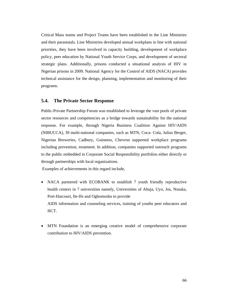Critical Mass teams and Project Teams have been established in the Line Ministries and their parastatals. Line Ministries developed annual workplans in line with national priorities, they have been involved in capacity building, development of workplace policy, peer education by National Youth Service Corps, and development of sectoral strategic plans. Additionally, prisons conducted a situational analysis of HIV in Nigerian prisons in 2009. National Agency for the Control of AIDS (NACA) provides technical assistance for the design, planning, implementation and monitoring of their programs.

## **5.4. The Private Sector Response**

Public-Private Partnership Forum was established to leverage the vast pools of private sector resources and competencies as a bridge towards sustainability for the national response. For example, through Nigeria Business Coalition Against HIV/AIDS (NIBUCCA), 39 multi-national companies, such as MTN, Coca- Cola, Julius Berger, Nigerian Breweries, Cadbury, Guinness, Chevron supported workplace programs including prevention, treatment. In addition, companies supported outreach programs to the public embedded in Corporate Social Responsibility portfolios either directly or through partnerships with local organizations.

Examples of achievements in this regard include,

- NACA partnered with ECOBANK to establish 7 youth friendly reproductive health centers in 7 universities namely, Universities of Abuja, Uyo, Jos, Nssuka, Port-Harcourt, Ile-Ife and Ogbomosho to provide AIDS information and counseling services, training of youths peer educators and HCT.
- MTN Foundation is an emerging creative model of comprehensive corporate contribution to HIV/AIDS prevention.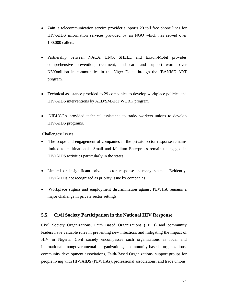- Zain, a telecommunication service provider supports 20 toll free phone lines for HIV/AIDS information services provided by an NGO which has served over 100,000 callers.
- Partnership between NACA, LNG, SHELL and Exxon-Mobil provides comprehensive prevention, treatment, and care and support worth over N500million in communities in the Niger Delta through the IBANISE ART program.
- Technical assistance provided to 29 companies to develop workplace policies and HIV/AIDS interventions by AED/SMART WORK program.
- NIBUCCA provided technical assistance to trade/ workers unions to develop HIV/AIDS programs.

## Challenges/ Issues

- The scope and engagement of companies in the private sector response remains limited to multinationals. Small and Medium Enterprises remain unengaged in HIV/AIDS activities particularly in the states.
- Limited or insignificant private sector response in many states. Evidently, HIV/AID is not recognized as priority issue by companies.
- Workplace stigma and employment discrimination against PLWHA remains a major challenge in private sector settings

## **5.5. Civil Society Participation in the National HIV Response**

Civil Society Organizations, Faith Based Organizations (FBOs) and community leaders have valuable roles in preventing new infections and mitigating the impact of HIV in Nigeria. Civil society encompasses such organizations as local and international nongovernmental organizations, community-based organizations, community development associations, Faith-Based Organizations, support groups for people living with HIV/AIDS (PLWHAs), professional associations, and trade unions.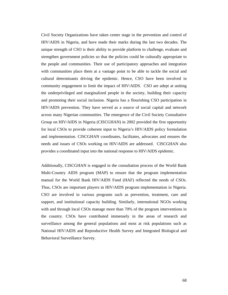Civil Society Organizations have taken center stage in the prevention and control of HIV/AIDS in Nigeria, and have made their marks during the last two decades. The unique strength of CSO is their ability to provide platform to challenge, evaluate and strengthen government policies so that the policies could be culturally appropriate to the people and communities. Their use of participatory approaches and integration with communities place them at a vantage point to be able to tackle the social and cultural determinants driving the epidemic. Hence, CSO have been involved in community engagement to limit the impact of HIV/AIDS. CSO are adept at uniting the underprivileged and marginalized people in the society, building their capacity and promoting their social inclusion. Nigeria has a flourishing CSO participation in HIV/AIDS prevention. They have served as a source of social capital and network across many Nigerian communities. The emergence of the Civil Society Consultative Group on HIV/AIDS in Nigeria (CISCGHAN) in 2002 provided the first opportunity for local CSOs to provide coherent input to Nigeria's HIV/AIDS policy formulation and implementation. CISCGHAN coordinates, facilitates, advocates and ensures the needs and issues of CSOs working on HIV/AIDS are addressed. CISCGHAN also provides a coordinated input into the national response to HIV/AIDS epidemic.

Additionally, CISCGHAN is engaged in the consultation process of the World Bank Multi-Country AIDS program (MAP) to ensure that the program implementation manual for the World Bank HIV/AIDS Fund (HAF) reflected the needs of CSOs. Thus, CSOs are important players in HIV/AIDS program implementation in Nigeria. CSO are involved in various programs such as prevention, treatment, care and support, and institutional capacity building. Similarly, international NGOs working with and through local CSOs manage more than 70% of the program interventions in the country. CSOs have contributed immensely in the areas of research and surveillance among the general populations and most at risk populations such as National HIV/AIDS and Reproductive Health Survey and Integrated Biological and Behavioral Surveillance Survey.

68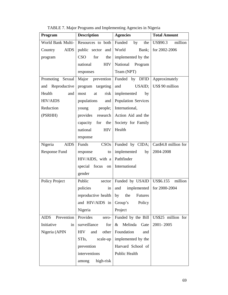| Program                   | <b>Description</b>               | <b>Agencies</b>            | <b>Total Amount</b>  |
|---------------------------|----------------------------------|----------------------------|----------------------|
| World Bank Multi-         | Resources to both                | Funded<br>by<br>the        | million<br>US\$90.3  |
| <b>AIDS</b><br>Country    | public sector<br>and             | World<br>Bank;             | for 2002-2006        |
| program                   | for<br><b>CSO</b><br>the         | implemented by the         |                      |
|                           | national<br>HIV                  | National Program           |                      |
|                           | responses                        | Team (NPT)                 |                      |
| Promoting<br>Sexual       | prevention<br>Major              | Funded by DFID             | Approximately        |
| and Reproductive          | program targeting                | USAID;<br>and              | US\$ 90 million      |
| Health<br>and             | risk  <br>most<br>at             | implemented<br>by          |                      |
| <b>HIV/AIDS</b>           | populations<br>and               | <b>Population Services</b> |                      |
| Reduction                 | young<br>people;                 | International,             |                      |
| (PSRHH)                   | provides<br>research             | Action Aid and the         |                      |
|                           | capacity<br>for the              | Society for Family         |                      |
|                           | national<br><b>HIV</b>           | Health                     |                      |
|                           | response                         |                            |                      |
| Nigeria<br><b>AIDS</b>    | Funds<br>CSOs                    | Funded by CIDA;            | Can\$4.8 million for |
| Response Fund             | response<br>to                   | implemented<br>by          | 2004-2008            |
|                           | HIV/AIDS, with a                 | Pathfinder                 |                      |
|                           | focus<br>special<br>on           | International              |                      |
|                           | gender                           |                            |                      |
| Policy Project            | Public<br>sector                 | Funded by USAID            | million<br>US\$6.155 |
|                           | policies<br>in                   | and<br>implemented         | for 2000-2004        |
|                           | reproductive health              | the<br>by<br>Futures       |                      |
|                           | and HIV/AIDS in                  | Group's<br>Policy          |                      |
|                           | Nigeria                          | Project                    |                      |
| <b>AIDS</b><br>Prevention | Provides<br>sero-                | Funded by the Bill         | US\$25 million for   |
| Initiative<br>in          | surveillance<br>for <sub>1</sub> | Melinda<br>Gate<br>$\&$    | 2001-2005            |
| Nigeria (APIN             | other<br><b>HIV</b><br>and       | Foundation<br>and          |                      |
|                           | STIs,<br>scale-up $\vert$        | implemented by the         |                      |
|                           | prevention                       | Harvard School of          |                      |
|                           | interventions                    | Public Health              |                      |
|                           | high-risk<br>among               |                            |                      |

TABLE 7. Major Programs and Implementing Agencies in Nigeria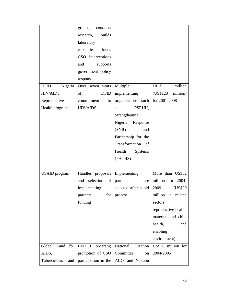|                        | conducts<br>groups,      |                      |                       |
|------------------------|--------------------------|----------------------|-----------------------|
|                        | research,<br>builds      |                      |                       |
|                        | laboratory               |                      |                       |
|                        | capacities,<br>funds     |                      |                       |
|                        | CSO interventions        |                      |                       |
|                        | and<br>supports          |                      |                       |
|                        | government policy        |                      |                       |
|                        | responses                |                      |                       |
| <b>DFID</b><br>Nigeria | Over seven years         | Multiple             | £81.5<br>million      |
| <b>HIV/AIDS</b>        | of<br><b>DFID</b>        | implementing         | (US\$123)<br>million) |
| Reproductive           | commitment<br>to         | organizations such   | for 2001-2008         |
| Health programs        | <b>HIV/AIDS</b>          | PSRHH,<br>as         |                       |
|                        |                          | Strengthening        |                       |
|                        |                          | Nigeria Response     |                       |
|                        |                          | $(SNR)$ ,<br>and     |                       |
|                        |                          | Partnership for the  |                       |
|                        |                          | Transformation of    |                       |
|                        |                          | Health<br>Systems    |                       |
|                        |                          | (PATHS)              |                       |
|                        |                          |                      |                       |
| <b>USAID</b> program   | Handles proposals        | Implementing         | More than US\$82      |
|                        | selection<br>of<br>and   | partners<br>are      | million for 2004-     |
|                        | implementing             | selected after a bid | 2009<br>(US\$99)      |
|                        | partners<br>for          | process              | million in related    |
|                        | funding                  |                      | sectors,              |
|                        |                          |                      | reproductive health,  |
|                        |                          |                      | maternal and child    |
|                        |                          |                      | health,<br>and        |
|                        |                          |                      | enabling              |
|                        |                          |                      | environment)          |
| Global<br>Fund for     | <b>PMTCT</b><br>program; | National<br>Action   | US\$28 million for    |
| AIDS,                  | promotion of CSO         | Committee<br>on      | 2004-2005             |
| Tuberculosis<br>and    | participation in the     | AIDS and Yakubu      |                       |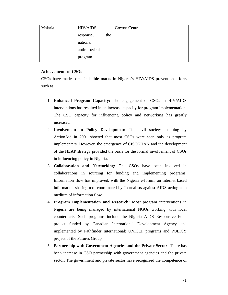| Malaria | <b>HIV/AIDS</b> |     | Gowon Centre |  |
|---------|-----------------|-----|--------------|--|
|         | response;       | the |              |  |
|         | national        |     |              |  |
|         | antiretroviral  |     |              |  |
|         | program         |     |              |  |

## **Achievements of CSOs**

CSOs have made some indelible marks in Nigeria's HIV/AIDS prevention efforts such as:

- 1. **Enhanced Program Capacity:** The engagement of CSOs in HIV/AIDS interventions has resulted in an increase capacity for program implementation. The CSO capacity for influencing policy and networking has greatly increased.
- 2. **Involvement in Policy Development:** The civil society mapping by ActionAid in 2001 showed that most CSOs were seen only as program implementers. However, the emergence of CISCGHAN and the development of the HEAP strategy provided the basis for the formal involvement of CSOs in influencing policy in Nigeria.
- 3. **Collaboration and Networking:** The CSOs have been involved in collaborations in sourcing for funding and implementing programs. Information flow has improved, with the Nigeria e-forum, an internet based information sharing tool coordinated by Journalists against AIDS acting as a medium of information flow.
- 4. **Program Implementation and Research:** Most program interventions in Nigeria are being managed by international NGOs working with local counterparts. Such programs include the Nigeria AIDS Responsive Fund project funded by Canadian International Development Agency and implemented by Pathfinder International; UNICEF programs and POLICY project of the Futures Group.
- 5. **Partnership with Government Agencies and the Private Sector:** There has been increase in CSO partnership with government agencies and the private sector. The government and private sector have recognized the competence of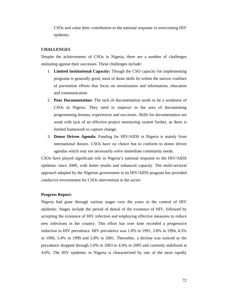CSOs and value their contribution to the national response in overcoming HIV epidemic.

### **CHALLENGES**

Despite the achievements of CSOs in Nigeria, there are a number of challenges militating against their successes. These challenges include:

- 1. **Limited Institutional Capacity:** Though the CSO capacity for implementing programs is generally good, most of those skills lie within the narrow confines of prevention efforts that focus on sensitization and information, education and communication.
- 2. **Poor Documentation:** The lack of documentation tends to be a weakness of CSOs in Nigeria. They need to improve in the area of documenting programming lessons, experiences and successes. Skills for documentation are weak with lack of an effective project monitoring system further, as there is limited framework to capture change.
- 3. **Donor Driven Agenda:** Funding for HIV/AIDS in Nigeria is mainly from international donors. CSOs have no choice but to conform to donor driven agendas which may not necessarily solve immediate community needs.

CSOs have played significant role in Nigeria's national response to the HIV/AIDS epidemic since 2000, with better results and enhanced capacity. The multi-sectoral approach adopted by the Nigerian government in its HIV/AIDS program has provided conducive environment for CSOs intervention in the sector

#### **Progress Report:**

Nigeria had gone through various stages over the years in the control of HIV epidemic. Stages include the period of denial of the existence of HIV, followed by accepting the existence of HIV infection and employing effective measures to reduce new infections in the country. This effort has over time recorded a progressive reduction in HIV prevalence. HIV prevalence was 1.8% in 1991, 3.8% in 1994, 4.5% in 1996, 5.4% in 1999 and 5.8% in 2001. Thereafter, a decline was noticed as the prevalence dropped through 5.0% in 2003 to 4.4% in 2005 and currently stabilized at 4.6%. The HIV epidemic in Nigeria is characterized by one of the most rapidly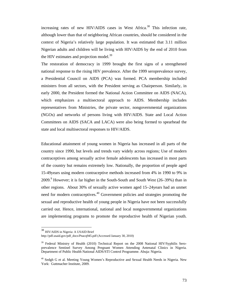increasing rates of new HIV/AIDS cases in West Africa.<sup>38</sup> This infection rate, although lower than that of neighboring African countries, should be considered in the context of Nigeria's relatively large population. It was estimated that 3.11 million Nigerian adults and children will be living with HIV/AIDS by the end of 2010 from the HIV estimates and projection model.<sup>39</sup>

The restoration of democracy in 1999 brought the first signs of a strengthened national response to the rising HIV prevalence. After the 1999 seroprevalence survey, a Presidential Council on AIDS (PCA) was formed. PCA membership included ministers from all sectors, with the President serving as Chairperson. Similarly, in early 2000, the President formed the National Action Committee on AIDS (NACA), which emphasizes a multisectoral approach to AIDS. Membership includes representatives from Ministries, the private sector, nongovernmental organizations (NGOs) and networks of persons living with HIV/AIDS. State and Local Action Committees on AIDS (SACA and LACA) were also being formed to spearhead the state and local multisectoral responses to HIV/AIDS.

Educational attainment of young women in Nigeria has increased in all parts of the country since 1990, but levels and trends vary widely across regions; Use of modern contraceptives among sexually active female adolescents has increased in most parts of the country but remains extremely low. Nationally, the proportion of people aged 15-49years using modern contraceptive methods increased from 4% in 1990 to 9% in 2009.<sup>9</sup> However; it is far higher in the South-South and South West (26–39%) than in other regions. About 30% of sexually active women aged 15–24years had an unmet need for modern contraceptives.<sup>40</sup> Government policies and strategies promoting the sexual and reproductive health of young people in Nigeria have not been successfully carried out. Hence, international, national and local nongovernmental organizations are implementing programs to promote the reproductive health of Nigerian youth.

 $\overline{a}$ 

<sup>38</sup> HIV/AIDS in Nigeria: A USAID Brief

http://pdf.usaid.gov/pdf\_docs/Pnacq945.pdf (Accessed January 30, 2010)

<sup>&</sup>lt;sup>39</sup> Federal Ministry of Health (2010) Technical Report on the 2008 National HIV/Syphilis Seroprevalence Sentinel Survey Among Pregnant Women Attending Antenatal Clinics in Nigeria. Department of Public Health National AIDS/STI Control Programme. Abuja: Nigeria.

<sup>&</sup>lt;sup>40</sup> Sedgh G et al. Meeting Young Women's Reproductive and Sexual Health Needs in Nigeria. New York: Guttmacher Institute, 2009.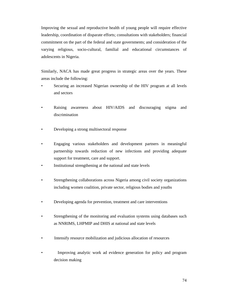Improving the sexual and reproductive health of young people will require effective leadership, coordination of disparate efforts; consultations with stakeholders; financial commitment on the part of the federal and state governments; and consideration of the varying religious, socio-cultural, familial and educational circumstances of adolescents in Nigeria.

Similarly, NACA has made great progress in strategic areas over the years. These areas include the following:

- Securing an increased Nigerian ownership of the HIV program at all levels and sectors
- Raising awareness about HIV/AIDS and discouraging stigma and discrimination
- Developing a strong multisectoral response
- Engaging various stakeholders and development partners in meaningful partnership towards reduction of new infections and providing adequate support for treatment, care and support.
- Institutional strengthening at the national and state levels
- Strengthening collaborations across Nigeria among civil society organizations including women coalition, private sector, religious bodies and youths
- Developing agenda for prevention, treatment and care interventions
- Strengthening of the monitoring and evaluation systems using databases such as NNRIMS, LHPMIP and DHIS at national and state levels
- Intensify resource mobilization and judicious allocation of resources
- Improving analytic work ad evidence generation for policy and program decision making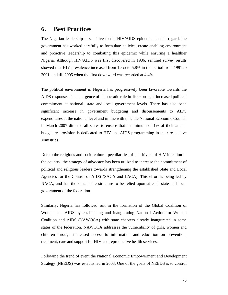## **6. Best Practices**

The Nigerian leadership is sensitive to the HIV/AIDS epidemic. In this regard, the government has worked carefully to formulate policies; create enabling environment and proactive leadership to combating this epidemic while ensuring a healthier Nigeria. Although HIV/AIDS was first discovered in 1986, sentinel survey results showed that HIV prevalence increased from 1.8% to 5.8% in the period from 1991 to 2001, and till 2005 when the first downward was recorded at 4.4%.

The political environment in Nigeria has progressively been favorable towards the AIDS response. The emergence of democratic rule in 1999 brought increased political commitment at national, state and local government levels. There has also been significant increase in government budgeting and disbursements to AIDS expenditures at the national level and in line with this, the National Economic Council in March 2007 directed all states to ensure that a minimum of 1% of their annual budgetary provision is dedicated to HIV and AIDS programming in their respective Ministries.

Due to the religious and socio-cultural peculiarities of the drivers of HIV infection in the country, the strategy of advocacy has been utilized to increase the commitment of political and religious leaders towards strengthening the established State and Local Agencies for the Control of AIDS (SACA and LACA). This effort is being led by NACA, and has the sustainable structure to be relied upon at each state and local government of the federation.

Similarly, Nigeria has followed suit in the formation of the Global Coalition of Women and AIDS by establishing and inaugurating National Action for Women Coalition and AIDS (NAWOCA) with state chapters already inaugurated in some states of the federation. NAWOCA addresses the vulnerability of girls, women and children through increased access to information and education on prevention, treatment, care and support for HIV and reproductive health services.

Following the trend of event the National Economic Empowerment and Development Strategy (NEEDS) was established in 2003. One of the goals of NEEDS is to control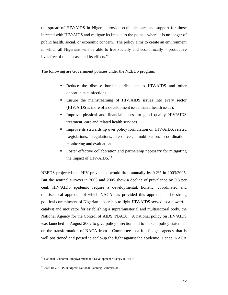the spread of HIV/AIDS in Nigeria, provide equitable care and support for those infected with HIV/AIDS and mitigate its impact to the point – where it is no longer of public health, social, or economic concern. The policy aims to create an environment in which all Nigerians will be able to live socially and economically – productive lives free of the disease and its effects.<sup>41</sup>

The following are Government policies under the NEEDS program:

- Reduce the disease burden attributable to HIV/AIDS and other opportunistic infections.
- Ensure the mainstreaming of HIV/AIDS issues into every sector (HIV/AIDS is more of a development issue than a health issue).
- **Improve physical and financial access to good quality HIV/AIDS** treatment, care and related health services.
- Improve its stewardship over policy formulation on HIV/AIDS, related Legislations, regulations, resources, mobilization, coordination, monitoring and evaluation.
- Foster effective collaboration and partnership necessary for mitigating the impact of  $HIV/AIDS.<sup>42</sup>$

NEEDS projected that HIV prevalence would drop annually by 0.2% in 2003/2005. But the sentinel surveys in 2003 and 2005 show a decline of prevalence by 0.3 per cent. HIV/AIDS epidemic require a developmental, holistic, coordinated and multisectoral approach of which NACA has provided this approach. The strong political commitment of Nigerian leadership to fight HIV/AIDS served as a powerful catalyst and motivator for establishing a supraministerial and multisectoral body, the National Agency for the Control of AIDS (NACA). A national policy on HIV/AIDS was launched in August 2002 to give policy direction and to make a policy statement on the transformation of NACA from a Committee to a full-fledged agency that is well positioned and poised to scale-up the fight against the epidemic. Hence, NACA

 $\overline{\phantom{a}}$ 

<sup>&</sup>lt;sup>43</sup> National Economic Empowerment and Development Strategy (NEEDS)

<sup>44 2006</sup> HIV/AIDS in Nigeria National Planning Commission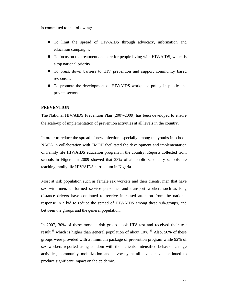is committed to the following:

- To limit the spread of HIV/AIDS through advocacy, information and education campaigns.
- To focus on the treatment and care for people living with HIV/AIDS, which is a top national priority.
- To break down barriers to HIV prevention and support community based responses.
- To promote the development of HIV/AIDS workplace policy in public and private sectors

#### **PREVENTION**

The National HIV/AIDS Prevention Plan (2007‐2009) has been developed to ensure the scale-up of implementation of prevention activities at all levels in the country.

In order to reduce the spread of new infection especially among the youths in school, NACA in collaboration with FMOH facilitated the development and implementation of Family life HIV/AIDS education program in the country. Reports collected from schools in Nigeria in 2009 showed that 23% of all public secondary schools are teaching family life HIV/AIDS curriculum in Nigeria.

Most at risk population such as female sex workers and their clients, men that have sex with men, uniformed service personnel and transport workers such as long distance drivers have continued to receive increased attention from the national response in a bid to reduce the spread of HIV/AIDS among these sub-groups, and between the groups and the general population.

In 2007, 30% of these most at risk groups took HIV test and received their test result,<sup>38</sup> which is higher than general population of about  $10\%$ <sup>35</sup> Also, 50% of these groups were provided with a minimum package of prevention program while 92% of sex workers reported using condom with their clients. Intensified behavior change activities, community mobilization and advocacy at all levels have continued to produce significant impact on the epidemic.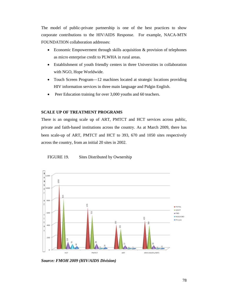The model of public-private partnership is one of the best practices to show corporate contributions to the HIV/AIDS Response. For example, NACA-MTN FOUNDATION collaboration addresses:

- Economic Empowerment through skills acquisition & provision of telephones as micro enterprise credit to PLWHA in rural areas.
- Establishment of youth friendly centers in three Universities in collaboration with NGO, Hope Worldwide.
- Touch Screen Program—12 machines located at strategic locations providing HIV information services in three main language and Pidgin English.
- Peer Education training for over 3,000 youths and 60 teachers.

#### **SCALE UP OF TREATMENT PROGRAMS**

There is an ongoing scale up of ART, PMTCT and HCT services across public, private and faith‐based institutions across the country. As at March 2009, there has been scale-up of ART, PMTCT and HCT to 393, 670 and 1050 sites respectively across the country, from an initial 20 sites in 2002.





*Source: FMOH 2009 (HIV/AIDS Division)*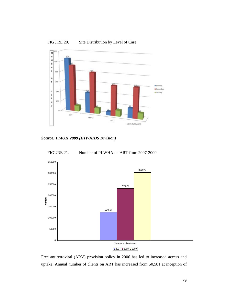

FIGURE 20. Site Distribution by Level of Care







Free antiretroviral (ARV) provision policy in 2006 has led to increased access and uptake. Annual number of clients on ART has increased from 50,581 at inception of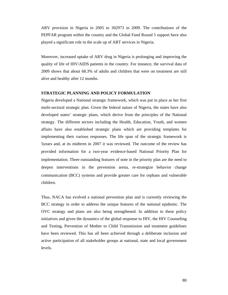ARV provision in Nigeria in 2005 to 302973 in 2009. The contributions of the PEPFAR program within the country and the Global Fund Round 5 support have also played a significant role in the scale up of ART services in Nigeria.

Moreover, increased uptake of ARV drug in Nigeria is prolonging and improving the quality of life of HIV/AIDS patients in the country. For instance, the survival data of 2009 shows that about 68.3% of adults and children that were on treatment are still alive and healthy after 12 months.

#### **STRATEGIC PLANNING AND POLICY FORMULATION**

Nigeria developed a National strategic framework, which was put in place as her first multi-sectoral strategic plan. Given the federal nature of Nigeria, the states have also developed states' strategic plans, which derive from the principles of the National strategy. The different sectors including the Health, Education, Youth, and women affairs have also established strategic plans which are providing templates for implementing their various responses. The life span of the strategic framework is 5years and, at its midterm in 2007 it was reviewed. The outcome of the review has provided information for a two‐year evidence‐based National Priority Plan for implementation. Three outstanding features of note in the priority plan are the need to deepen interventions in the prevention arena, re‐strategize behavior change communication (BCC) systems and provide greater care for orphans and vulnerable children.

Thus, NACA has evolved a national prevention plan and is currently reviewing the BCC strategy in order to address the unique features of the national epidemic. The OVC strategy and plans are also being strengthened. In addition to these policy initiatives and given the dynamics of the global response to HIV, the HIV Counseling and Testing, Prevention of Mother to Child Transmission and treatment guidelines have been reviewed. This has all been achieved through a deliberate inclusion and active participation of all stakeholder groups at national, state and local government levels.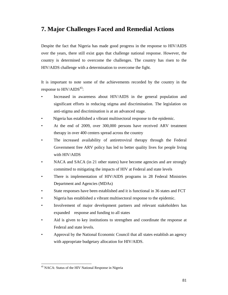## **7. Major Challenges Faced and Remedial Actions**

Despite the fact that Nigeria has made good progress in the response to HIV/AIDS over the years, there still exist gaps that challenge national response. However, the country is determined to overcome the challenges. The country has risen to the HIV/AIDS challenge with a determination to overcome the fight.

It is important to note some of the achievements recorded by the country in the response to  $HIV/AIDS<sup>43</sup>$ :

- Increased in awareness about HIV/AIDS in the general population and significant efforts in reducing stigma and discrimination. The legislation on anti-stigma and discrimination is at an advanced stage.
- Nigeria has established a vibrant multisectoral response to the epidemic.
- At the end of 2009, over 300,000 persons have received ARV treatment therapy in over 400 centers spread across the country
- The increased availability of antiretroviral therapy through the Federal Government free ARV policy has led to better quality lives for people living with HIV/AIDS
- NACA and SACA (in 21 other states) have become agencies and are strongly committed to mitigating the impacts of HIV at Federal and state levels
- There is implementation of HIV/AIDS programs in 28 Federal Ministries Department and Agencies (MDAs)
- State responses have been established and it is functional in 36 states and FCT
- Nigeria has established a vibrant multisectoral response to the epidemic.
- Involvement of major development partners and relevant stakeholders has expanded response and funding to all states
- Aid is given to key institutions to strengthen and coordinate the response at Federal and state levels.
- Approval by the National Economic Council that all states establish an agency with appropriate budgetary allocation for HIV/AIDS.

 $\overline{\phantom{a}}$ 

<sup>&</sup>lt;sup>45</sup> NACA: Status of the HIV National Response in Nigeria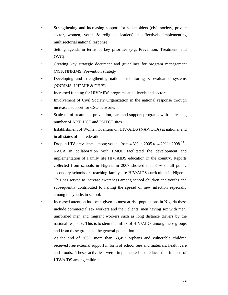- Strengthening and increasing support for stakeholders (civil society, private sector, women, youth & religious leaders) in effectively implementing multisectorial national response
- Setting agenda in terms of key priorities (e.g. Prevention, Treatment, and OVC).
- Creating key strategic document and guidelines for program management (NSF, NNRIMS, Prevention strategy).
- Developing and strengthening national monitoring  $\&$  evaluation systems (NNRIMS, LHPMIP & DHIS)
- Increased funding for HIV/AIDS programs at all levels and sectors
- Involvement of Civil Society Organization in the national response through increased support for CSO networks
- Scale-up of treatment, prevention, care and support programs with increasing number of ART, HCT and PMTCT sites
- Establishment of Women Coalition on HIV/AIDS (NAWOCA) at national and in all states of the federation.
- Drop in HIV prevalence among youths from 4.3% in 2005 to 4.2% in 2008.<sup>28</sup>
- NACA in collaboration with FMOE facilitated the development and implementation of Family life HIV/AIDS education in the country. Reports collected from schools in Nigeria in 2007 showed that 34% of all public secondary schools are teaching family life HIV/AIDS curriculum in Nigeria. This has served to increase awareness among school children and youths and subsequently contributed to halting the spread of new infection especially among the youths in school.
- Increased attention has been given to most at risk populations in Nigeria these include commercial sex workers and their clients, men having sex with men, uniformed men and migrant workers such as long distance drivers by the national response. This is to stem the influx of HIV/AIDS among these groups and from these groups to the general population.
- At the end of 2009, more than 63,457 orphans and vulnerable children received free external support in form of school fees and materials, health care and foods. These activities were implemented to reduce the impact of HIV/AIDS among children.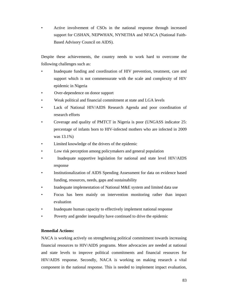• Active involvement of CSOs in the national response through increased support for CiSHAN, NEPWHAN, NYNETHA and NFACA (National Faith-Based Advisory Council on AIDS).

Despite these achievements, the country needs to work hard to overcome the following challenges such as:

- Inadequate funding and coordination of HIV prevention, treatment, care and support which is not commensurate with the scale and complexity of HIV epidemic in Nigeria
- Over-dependence on donor support
- Weak political and financial commitment at state and LGA levels
- Lack of National HIV/AIDS Research Agenda and poor coordination of research efforts
- Coverage and quality of PMTCT in Nigeria is poor (UNGASS indicator 25: percentage of infants born to HIV-infected mothers who are infected in 2009 was 13.1%)
- Limited knowledge of the drivers of the epidemic
- Low risk perception among policymakers and general population
- Inadequate supportive legislation for national and state level HIV/AIDS response
- Institutionalization of AIDS Spending Assessment for data on evidence based funding, resources, needs, gaps and sustainability
- Inadequate implementation of National M&E system and limited data use
- Focus has been mainly on intervention monitoring rather than impact evaluation
- Inadequate human capacity to effectively implement national response
- Poverty and gender inequality have continued to drive the epidemic

#### **Remedial Actions:**

NACA is working actively on strengthening political commitment towards increasing financial resources to HIV/AIDS programs. More advocacies are needed at national and state levels to improve political commitments and financial resources for HIV/AIDS response. Secondly, NACA is working on making research a vital component in the national response. This is needed to implement impact evaluation,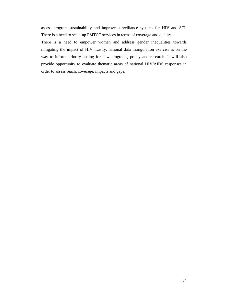assess program sustainability and improve surveillance systems for HIV and STI. There is a need to scale-up PMTCT services in terms of coverage and quality.

There is a need to empower women and address gender inequalities towards mitigating the impact of HIV. Lastly, national data triangulation exercise is on the way to inform priority setting for new programs, policy and research. It will also provide opportunity to evaluate thematic areas of national HIV/AIDS responses in order to assess reach, coverage, impacts and gaps.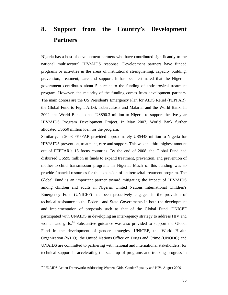# **8. Support from the Country's Development Partners**

Nigeria has a host of development partners who have contributed significantly to the national multisectoral HIV/AIDS response. Development partners have funded programs or activities in the areas of institutional strengthening, capacity building, prevention, treatment, care and support. It has been estimated that the Nigerian government contributes about 5 percent to the funding of antiretroviral treatment program. However, the majority of the funding comes from development partners. The main donors are the US President's Emergency Plan for AIDS Relief (PEPFAR), the Global Fund to Fight AIDS, Tuberculosis and Malaria, and the World Bank. In 2002, the World Bank loaned US\$90.3 million to Nigeria to support the five-year HIV/AIDS Program Development Project. In May 2007, World Bank further allocated US\$50 million loan for the program.

Similarly, in 2008 PEPFAR provided approximately US\$448 million to Nigeria for HIV/AIDS prevention, treatment, care and support. This was the third highest amount out of PEPFAR's 15 focus countries. By the end of 2008, the Global Fund had disbursed US\$95 million in funds to expand treatment, prevention, and prevention of mother-to-child transmission programs in Nigeria. Much of this funding was to provide financial resources for the expansion of antiretroviral treatment program. The Global Fund is an important partner toward mitigating the impact of HIV/AIDS among children and adults in Nigeria. United Nations International Children's Emergency Fund (UNICEF) has been proactively engaged in the provision of technical assistance to the Federal and State Governments in both the development and implementation of proposals such as that of the Global Fund. UNICEF participated with UNAIDS in developing an inter-agency strategy to address HIV and women and girls.<sup>44</sup> Substantive guidance was also provided to support the Global Fund in the development of gender strategies. UNICEF, the World Health Organization (WHO), the United Nations Office on Drugs and Crime (UNODC) and UNAIDS are committed to partnering with national and international stakeholders, for technical support in accelerating the scale-up of programs and tracking progress in

 $\overline{\phantom{a}}$ 

<sup>46</sup> UNAIDS Action Framework: Addressing Women, Girls, Gender Equality and HIV. August 2009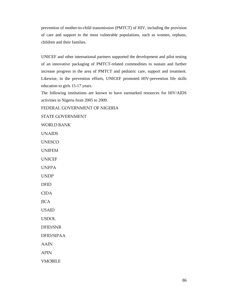prevention of mother-to-child transmission (PMTCT) of HIV, including the provision of care and support to the most vulnerable populations, such as women, orphans, children and their families.

UNICEF and other international partners supported the development and pilot testing of an innovative packaging of PMTCT-related commodities to sustain and further increase progress in the area of PMTCT and pediatric care, support and treatment. Likewise, in the prevention efforts, UNICEF promoted HIV-prevention life skills education to girls 15-17 years.

The following institutions are known to have earmarked resources for HIV/AIDS activities in Nigeria from 2005 to 2009.

FEDERAL GOVERNMENT OF NIGERIA

STATE GOVERNMENT

WORLD BANK

UNAIDS

UNESCO

UNIFEM

UNICEF

UNFPA

UNDP

DFID

CIDA

**JICA** 

USAID

USDOL

DFID/SNR

DFID/SIPAA

AAIN

APIN

VMOBILE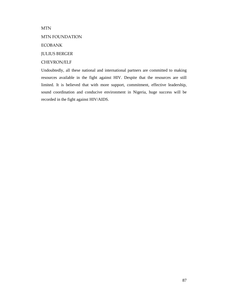MTN

### MTN FOUNDATION

ECOBANK

JULIUS BERGER

## CHEVRON/ELF

Undoubtedly, all these national and international partners are committed to making resources available in the fight against HIV. Despite that the resources are still limited. It is believed that with more support, commitment, effective leadership, sound coordination and conducive environment in Nigeria, huge success will be recorded in the fight against HIV/AIDS.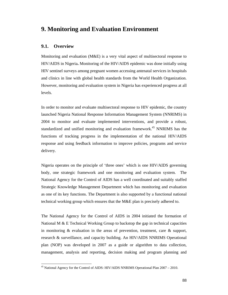## **9. Monitoring and Evaluation Environment**

## **9.1. Overview**

 $\overline{\phantom{a}}$ 

Monitoring and evaluation (M&E) is a very vital aspect of multisectoral response to HIV/AIDS in Nigeria**.** Monitoring of the HIV/AIDS epidemic was done initially using HIV sentinel surveys among pregnant women accessing antenatal services in hospitals and clinics in line with global health standards from the World Health Organization. However, monitoring and evaluation system in Nigeria has experienced progress at all levels.

In order to monitor and evaluate multisectoral response to HIV epidemic, the country launched Nigeria National Response Information Management System (NNRIMS) in 2004 to monitor and evaluate implemented interventions, and provide a robust, standardized and unified monitoring and evaluation framework.<sup>45</sup> NNRIMS has the functions of tracking progress in the implementation of the national HIV/AIDS response and using feedback information to improve policies, programs and service delivery.

Nigeria operates on the principle of 'three ones' which is one HIV/AIDS governing body, one strategic framework and one monitoring and evaluation system. The National Agency for the Control of AIDS has a well coordinated and suitably staffed Strategic Knowledge Management Department which has monitoring and evaluation as one of its key functions. The Department is also supported by a functional national technical working group which ensures that the M&E plan is precisely adhered to.

The National Agency for the Control of AIDS in 2004 initiated the formation of National M  $\&$  E Technical Working Group to backstop the gap in technical capacities in monitoring  $\&$  evaluation in the areas of prevention, treatment, care  $\&$  support, research & surveillance, and capacity building. An HIV/AIDS NNRIMS Operational plan (NOP) was developed in 2007 as a guide or algorithm to data collection, management, analysis and reporting, decision making and program planning and

<sup>&</sup>lt;sup>45</sup> National Agency for the Control of AIDS: HIV/AIDS NNRIMS Operational Plan 2007 – 2010.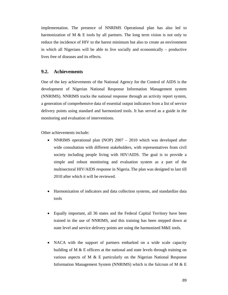implementation. The presence of NNRIMS Operational plan has also led to harmonization of M  $\&$  E tools by all partners. The long term vision is not only to reduce the incidence of HIV to the barest minimum but also to create an environment in which all Nigerians will be able to live socially and economically – productive lives free of diseases and its effects.

### **9.2. Achievements**

One of the key achievements of the National Agency for the Control of AIDS is the development of Nigerian National Response Information Management system (NNRIMS). NNRIMS tracks the national response through an activity report system, a generation of comprehensive data of essential output indicators from a list of service delivery points using standard and harmonized tools. It has served as a guide in the monitoring and evaluation of interventions.

Other achievements include:

- NNRIMS operational plan (NOP) 2007 2010 which was developed after wide consultation with different stakeholders, with representatives from civil society including people living with HIV/AIDS. The goal is to provide a simple and robust monitoring and evaluation system as a part of the multisectoral HIV/AIDS response in Nigeria. The plan was designed to last till 2010 after which it will be reviewed.
- Harmonization of indicators and data collection systems, and standardize data tools
- Equally important, all 36 states and the Federal Capital Territory have been trained in the use of NNRIMS, and this training has been stepped down at state level and service delivery points are using the harmonized M&E tools.
- NACA with the support of partners embarked on a wide scale capacity building of M & E officers at the national and state levels through training on various aspects of M & E particularly on the Nigerian National Response Information Management System (NNRIMS) which is the fulcrum of M  $\&$  E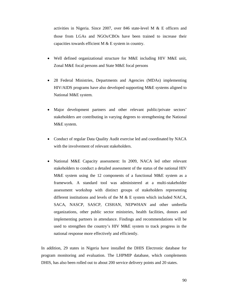activities in Nigeria. Since 2007, over 846 state‐level M & E officers and those from LGAs and NGOs/CBOs have been trained to increase their capacities towards efficient M  $&$  E system in country.

- Well defined organizational structure for M&E including HIV M&E unit, Zonal M&E focal persons and State M&E focal persons
- 28 Federal Ministries, Departments and Agencies (MDAs) implementing HIV/AIDS programs have also developed supporting M&E systems aligned to National M&E system.
- Major development partners and other relevant public/private sectors' stakeholders are contributing in varying degrees to strengthening the National M&E system.
- Conduct of regular Data Quality Audit exercise led and coordinated by NACA with the involvement of relevant stakeholders.
- National M&E Capacity assessment: In 2009, NACA led other relevant stakeholders to conduct a detailed assessment of the status of the national HIV M&E system using the 12 components of a functional M&E system as a framework. A standard tool was administered at a multi-stakeholder assessment workshop with distinct groups of stakeholders representing different institutions and levels of the M  $\&$  E system which included NACA, SACA, NASCP, SASCP, CISHAN, NEPWHAN and other umbrella organizations, other public sector ministries, health facilities, donors and implementing partners in attendance. Findings and recommendations will be used to strengthen the country's HIV M&E system to track progress in the national response more effectively and efficiently.

In addition, 29 states in Nigeria have installed the DHIS Electronic database for program monitoring and evaluation. The LHPMIP database, which complements DHIS, has also been rolled out to about 200 service delivery points and 20 states.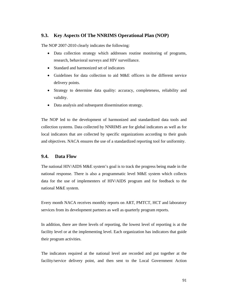## **9.3. Key Aspects Of The NNRIMS Operational Plan (NOP)**

The NOP 2007-2010 clearly indicates the following:

- Data collection strategy which addresses routine monitoring of programs, research, behavioral surveys and HIV surveillance.
- Standard and harmonized set of indicators
- Guidelines for data collection to aid M&E officers in the different service delivery points.
- Strategy to determine data quality: accuracy, completeness, reliability and validity.
- Data analysis and subsequent dissemination strategy.

The NOP led to the development of harmonized and standardized data tools and collection systems. Data collected by NNRIMS are for global indicators as well as for local indicators that are collected by specific organizations according to their goals and objectives. NACA ensures the use of a standardized reporting tool for uniformity.

## **9.4. Data Flow**

The national HIV/AIDS M&E system's goal is to track the progress being made in the national response. There is also a programmatic level M&E system which collects data for the use of implementers of HIV/AIDS program and for feedback to the national M&E system.

Every month NACA receives monthly reports on ART, PMTCT, HCT and laboratory services from its development partners as well as quarterly program reports.

In addition, there are three levels of reporting, the lowest level of reporting is at the facility level or at the implementing level. Each organization has indicators that guide their program activities.

The indicators required at the national level are recorded and put together at the facility/service delivery point, and then sent to the Local Government Action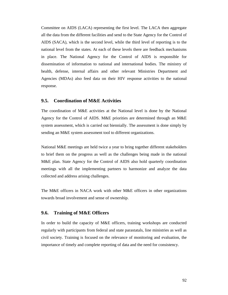Committee on AIDS (LACA) representing the first level. The LACA then aggregate all the data from the different facilities and send to the State Agency for the Control of AIDS (SACA), which is the second level, while the third level of reporting is to the national level from the states. At each of these levels there are feedback mechanisms in place. The National Agency for the Control of AIDS is responsible for dissemination of information to national and international bodies. The ministry of health, defense, internal affairs and other relevant Ministries Department and Agencies (MDAs) also feed data on their HIV response activities to the national response.

### **9.5. Coordination of M&E Activities**

The coordination of M&E activities at the National level is done by the National Agency for the Control of AIDS. M&E priorities are determined through an M&E system assessment, which is carried out biennially. The assessment is done simply by sending an M&E system assessment tool to different organizations.

National M&E meetings are held twice a year to bring together different stakeholders to brief them on the progress as well as the challenges being made in the national M&E plan. State Agency for the Control of AIDS also hold quarterly coordination meetings with all the implementing partners to harmonize and analyze the data collected and address arising challenges.

The M&E officers in NACA work with other M&E officers in other organizations towards broad involvement and sense of ownership.

## **9.6. Training of M&E Officers**

In order to build the capacity of M&E officers, training workshops are conducted regularly with participants from federal and state parastatals, line ministries as well as civil society. Training is focused on the relevance of monitoring and evaluation, the importance of timely and complete reporting of data and the need for consistency.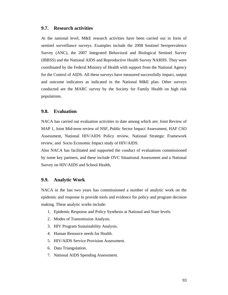## **9.7. Research activities**

At the national level, M&E research activities have been carried out in form of sentinel surveillance surveys. Examples include the 2008 Sentinel Seroprevalence Survey (ANC), the 2007 Integrated Behavioral and Biological Sentinel Survey (IBBSS) and the National AIDS and Reproductive Health Survey NARHS. They were coordinated by the Federal Ministry of Health with support from the National Agency for the Control of AIDS. All these surveys have measured successfully impact, output and outcome indicators as indicated in the National M&E plan. Other surveys conducted are the MARC survey by the Society for Family Health on high risk populations.

#### **9.8. Evaluation**

NACA has carried out evaluation activities to date among which are; Joint Review of MAP 1, Joint Mid-term review of NSF, Public Sector Impact Assessment, HAF CSO Assessment, National HIV/AIDS Policy review, National Strategic Framework review, and Socio Economic Impact study of HIV/AIDS.

Also NACA has facilitated and supported the conduct of evaluations commissioned by some key partners, and these include OVC Situational Assessment and a National Survey on HIV/AIDS and School Health,

#### **9.9. Analytic Work**

NACA in the last two years has commissioned a number of analytic work on the epidemic and response to provide tools and evidence for policy and program decision making. These analytic works include:

- 1. Epidemic Response and Policy Synthesis at National and State levels.
- 2. Modes of Transmission Analysis.
- 3. HIV Program Sustainability Analysis.
- 4. Human Resource needs for Health.
- 5. HIV/AIDS Service Provision Assessment.
- 6. Data Triangulation.
- 7. National AIDS Spending Assessment.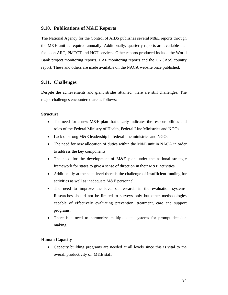### **9.10. Publications of M&E Reports**

The National Agency for the Control of AIDS publishes several M&E reports through the M&E unit as required annually. Additionally, quarterly reports are available that focus on ART, PMTCT and HCT services. Other reports produced include the World Bank project monitoring reports, HAF monitoring reports and the UNGASS country report. These and others are made available on the NACA website once published.

## **9.11. Challenges**

Despite the achievements and giant strides attained, there are still challenges. The major challenges encountered are as follows:

#### **Structure**

- The need for a new M&E plan that clearly indicates the responsibilities and roles of the Federal Ministry of Health, Federal Line Ministries and NGOs.
- Lack of strong M&E leadership in federal line ministries and NGOs
- The need for new allocation of duties within the M&E unit in NACA in order to address the key components
- The need for the development of M&E plan under the national strategic framework for states to give a sense of direction in their M&E activities.
- Additionally at the state level there is the challenge of insufficient funding for activities as well as inadequate M&E personnel.
- The need to improve the level of research in the evaluation systems. Researches should not be limited to surveys only but other methodologies capable of effectively evaluating prevention, treatment, care and support programs.
- There is a need to harmonize multiple data systems for prompt decision making

#### **Human Capacity**

 Capacity building programs are needed at all levels since this is vital to the overall productivity of M&E staff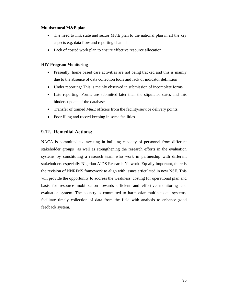### **Multisectoral M&E plan**

- The need to link state and sector M&E plan to the national plan in all the key aspects e.g. data flow and reporting channel
- Lack of costed work plan to ensure effective resource allocation.

### **HIV Program Monitoring**

- Presently, home based care activities are not being tracked and this is mainly due to the absence of data collection tools and lack of indicator definition
- Under reporting: This is mainly observed in submission of incomplete forms.
- Late reporting: Forms are submitted later than the stipulated dates and this hinders update of the database.
- Transfer of trained M&E officers from the facility/service delivery points.
- Poor filing and record keeping in some facilities.

## **9.12. Remedial Actions:**

NACA is committed to investing in building capacity of personnel from different stakeholder groups as well as strengthening the research efforts in the evaluation systems by constituting a research team who work in partnership with different stakeholders especially Nigerian AIDS Research Network. Equally important, there is the revision of NNRIMS framework to align with issues articulated in new NSF. This will provide the opportunity to address the weakness, costing for operational plan and basis for resource mobilization towards efficient and effective monitoring and evaluation system. The country is committed to harmonize multiple data systems, facilitate timely collection of data from the field with analysis to enhance good feedback system.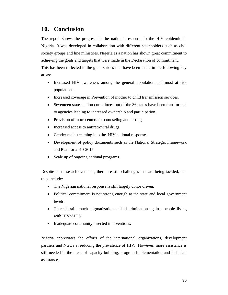## **10. Conclusion**

The report shows the progress in the national response to the HIV epidemic in Nigeria. It was developed in collaboration with different stakeholders such as civil society groups and line ministries. Nigeria as a nation has shown great commitment to achieving the goals and targets that were made in the Declaration of commitment.

This has been reflected in the giant strides that have been made in the following key areas:

- Increased HIV awareness among the general population and most at risk populations.
- Increased coverage in Prevention of mother to child transmission services.
- Seventeen states action committees out of the 36 states have been transformed to agencies leading to increased ownership and participation.
- Provision of more centers for counseling and testing
- Increased access to antiretroviral drugs
- Gender mainstreaming into the HIV national response.
- Development of policy documents such as the National Strategic Framework and Plan for 2010-2015.
- Scale up of ongoing national programs.

Despite all these achievements, there are still challenges that are being tackled, and they include:

- The Nigerian national response is still largely donor driven.
- Political commitment is not strong enough at the state and local government levels.
- There is still much stigmatization and discrimination against people living with HIV/AIDS.
- Inadequate community directed interventions.

Nigeria appreciates the efforts of the international organizations, development partners and NGOs at reducing the prevalence of HIV. However, more assistance is still needed in the areas of capacity building, program implementation and technical assistance.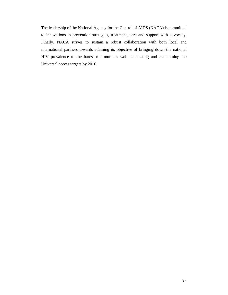The leadership of the National Agency for the Control of AIDS (NACA) is committed to innovations in prevention strategies, treatment, care and support with advocacy. Finally, NACA strives to sustain a robust collaboration with both local and international partners towards attaining its objective of bringing down the national HIV prevalence to the barest minimum as well as meeting and maintaining the Universal access targets by 2010.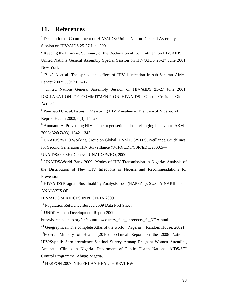## **11. References**

<sup>1</sup> Declaration of Commitment on HIV/AIDS: United Nations General Assembly Session on HIV/AIDS 25-27 June 2001

 $2^2$  Keeping the Promise: Summary of the Declaration of Commitment on HIV/AIDS United Nations General Assembly Special Session on HIV/AIDS 25-27 June 2001, New York

 $3$  Buvé A et al. The spread and effect of HIV-1 infection in sub-Saharan Africa. Lancet 2002; 359: 2011–17

4 United Nations General Assembly Session on HIV/AIDS 25-27 June 2001: DECLARATION OF COMMITMENT ON HIV/AIDS "Global Crisis – Global Action"

 $<sup>5</sup>$  Panchaud C et al. Issues in Measuring HIV Prevalence: The Case of Nigeria. Afr</sup> Reprod Health 2002; 6(3): 11 -29

 $6$  Ammann A. Preventing HIV: Time to get serious about changing behaviour. ABMJ. 2003; 326(7403): 1342–1343.

<sup>7</sup> UNAIDS/WHO Working Group on Global HIV/AIDS/STI Surveillance. Guidelines for Second Generation HIV Surveillance (WHO/CDS/CSR/EDC/2000.5—

UNAIDS/00.03E). Geneva: UNAIDS/WHO, 2000.

8 UNAIDS/World Bank 2009: Modes of HIV Transmission in Nigeria: Analysis of the Distribution of New HIV Infections in Nigeria and Recommendations for Prevention

<sup>9</sup> HIV/AIDS Program Sustainability Analysis Tool (HAPSAT): SUSTAINABILITY ANALYSIS OF

HIV/AIDS SERVICES IN NIGERIA 2009

<sup>10</sup> Population Reference Bureau 2009 Data Fact Sheet

<sup>11</sup>UNDP Human Development Report 2009:

http://hdrstats.undp.org/en/countries/country\_fact\_sheets/cty\_fs\_NGA.html

<sup>12</sup> Geographical: The complete Atlas of the world, "Nigeria", (Random House, 2002)

<sup>13</sup>Federal Ministry of Health (2010) Technical Report on the 2008 National HIV/Syphilis Sero-prevalence Sentinel Survey Among Pregnant Women Attending Antenatal Clinics in Nigeria. Department of Public Health National AIDS/STI Control Programme. Abuja: Nigeria.

<sup>14</sup> HERFON 2007: NIIGERIIAN HEALTH REVIIEW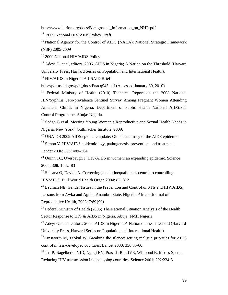http://www.herfon.org/docs/Background\_Information\_on\_NHR.pdf

<sup>15</sup> 2009 National HIV/AIDS Policy Draft

<sup>16</sup> National Agency for the Control of AIDS (NACA): National Strategic Framework (NSF) 2005-2009

<sup>17</sup> 2009 National HIV/AIDS Policy

<sup>18</sup> Adevi O, et al, editors, 2006. AIDS in Nigeria: A Nation on the Threshold (Harvard University Press, Harvard Series on Population and International Health).

<sup>19</sup> HIV/AIDS in Nigeria: A USAID Brief

http://pdf.usaid.gov/pdf\_docs/Pnacq945.pdf (Accessed January 30, 2010)

<sup>20</sup> Federal Ministry of Health (2010) Technical Report on the 2008 National HIV/Syphilis Sero-prevalence Sentinel Survey Among Pregnant Women Attending Antenatal Clinics in Nigeria. Department of Public Health National AIDS/STI Control Programme. Abuja: Nigeria.

<sup>21</sup> Sedgh G et al. Meeting Young Women's Reproductive and Sexual Health Needs in Nigeria. New York: Guttmacher Institute, 2009.

 $^{22}$  UNAIDS 2009 AIDS epidemic update: Global summary of the AIDS epidemic

 $^{23}$  Simon V. HIV/AIDS epidemiology, pathogenesis, prevention, and treatment. Lancet 2006; 368: 489–504

 $^{24}$  Quinn TC, Overbaugh J. HIV/AIDS in women: an expanding epidemic. Science 2005; 308: 1582–83

<sup>25</sup> Shisana O, Davids A. Correcting gender inequalities is central to controlling HIV/AIDS. Bull World Health Organ 2004; 82: 812

 $^{26}$  Ezumah NE. Gender Issues in the Prevention and Control of STIs and HIV/AIDS;

Lessons from Awka and Agulu, Anambra State, Nigeria. African Journal of Reproductive Health, 2003: 7:89{99)

<sup>27</sup> Federal Ministry of Health (2005) The National Situation Analysis of the Health Sector Response to HIV & AIDS in Nigeria. Abuja: FMH Nigeria

 $28$  Adeyi O, et al, editors. 2006. AIDS in Nigeria; A Nation on the Threshold (Harvard University Press, Harvard Series on Population and International Health).

 $^{29}$ Ainsworth M, Teokul W. Breaking the silence: setting realistic priorities for AIDS control in less-developed countries. Lancet 2000; 356:55-60.

 $30$  Jha P, Nagelkerke NJD, Ngugi EN, Prasada Rao JVR, Willbond B, Moses S, et al. Reducing HIV transmission in developing countries. Science 2001; 292:224-5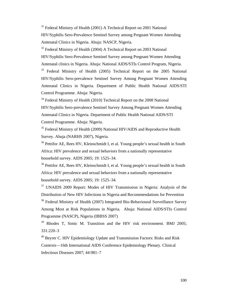<sup>31</sup> Federal Ministry of Health (2001) A Technical Report on 2001 National HIV/Syphilis Sero-Prevalence Sentinel Survey among Pregnant Women Attending Antenatal Clinics in Nigeria. Abuja: NASCP, Nigeria.

 $32$  Federal Ministry of Health (2004) A Technical Report on 2003 National HIV/Syphilis Sero-Prevalence Sentinel Survey among Pregnant Women Attending Antenatal clinics in Nigeria. Abuja: National AIDS/STIs Control Program, Nigeria. <sup>33</sup> Federal Ministry of Health (2005) Technical Report on the 2005 National HIV/Syphilis Sero-prevalence Sentinel Survey Among Pregnant Women Attending Antenatal Clinics in Nigeria. Department of Public Health National AIDS/STI Control Programme. Abuja: Nigeria.

 $34$  Federal Ministry of Health (2010) Technical Report on the 2008 National HIV/Syphilis Sero-prevalence Sentinel Survey Among Pregnant Women Attending Antenatal Clinics in Nigeria. Department of Public Health National AIDS/STI Control Programme. Abuja: Nigeria.

 $35$  Federal Ministry of Health (2009) National HIV/AIDS and Reproductive Health Survey. Abuja (NARHS 2007), Nigeria.

<sup>36</sup> Pettifor AE, Rees HV, Kleinschmidt I, et al. Young people's sexual health in South Africa: HIV prevalence and sexual behaviors from a nationally representative household survey. AIDS 2005; 19: 1525–34.

<sup>36</sup> Pettifor AE, Rees HV, Kleinschmidt I, et al. Young people's sexual health in South Africa: HIV prevalence and sexual behaviors from a nationally representative household survey. AIDS 2005; 19: 1525–34.

 $37$  UNAIDS 2009 Report: Modes of HIV Transmission in Nigeria: Analysis of the Distribution of New HIV Infections in Nigeria and Recommendations for Prevention <sup>38</sup> Federal Ministry of Health (2007) Integrated Bio-Behavioural Surveillance Survey Among Most at Risk Populations in Nigeria. Abuja: National AIDS/STIs Control Programme (NASCP), Nigeria (IBBSS 2007)

<sup>39</sup> Rhodes T, Simic M. Transition and the HIV risk environment. BMJ 2005; 331:220–3

40 Beyrer C. HIV Epidemiology Update and Transmission Factors: Risks and Risk Contexts—16th International AIDS Conference Epidemiology Plenary. Clinical Infectious Diseases 2007; 44:981–7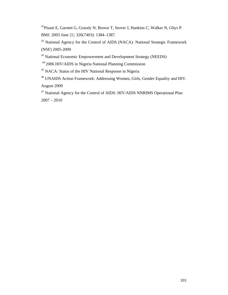41Pisani E, Garnett G, Grassly N, Brown T, Stover J, Hankins C, Walker N, Ghys P. BMJ. 2003 June 21; 326(7403): 1384–1387.

42 National Agency for the Control of AIDS (NACA): National Strategic Framework (NSF) 2005-2009

43 National Economic Empowerment and Development Strategy (NEEDS)

44 2006 HIV/AIDS in Nigeria National Planning Commission

45 NACA: Status of the HIV National Response in Nigeria

46 UNAIDS Action Framework: Addressing Women, Girls, Gender Equality and HIV. August 2009

47 National Agency for the Control of AIDS: HIV/AIDS NNRIMS Operational Plan  $2007 - 2010$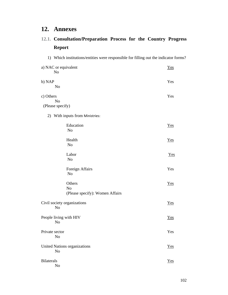## **12. Annexes**

## **12.1. Consultation/Preparation Process for the Country Progress Report**

1) Which institutions/entities were responsible for filling out the indicator forms? a) NAC or equivalent  $\frac{Y \text{es}}{}$  No b) NAP Yes No c) Others Yes No (Please specify) 2) With inputs from Ministries: Education Yes No Health Test and the *Yes*  No Labor Testam and Testam and Testam and Testam and Testam and Testam and Testam and Testam and Testam and Testam and Testam and Testam and Testam and Testam and Testam and Testam and Testam and Testam and Testam and Testam No Foreign Affairs Yes No Others Test and Test and Test and Test and Test and Test and Test and Test and Test and Test and Test and Test and Test and Test and Test and Test and Test and Test and Test and Test and Test and Test and Test and Test and No (Please specify): Women Affairs Civil society organizations Yes No People living with HIV Yes No Private sector Yes No United Nations organizations Test and Test and Test and Test and Test and Test and Test and Test and Test and Test and Test and Test and Test and Test and Test and Test and Test and Test and Test and Test and Test and Test No Bilaterals **Yes** No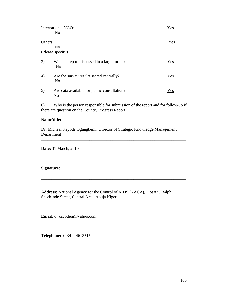|        | International NGOs<br>N <sub>0</sub>                         | Yes        |
|--------|--------------------------------------------------------------|------------|
| Others |                                                              | <b>Yes</b> |
|        | N <sub>0</sub><br>(Please specify)                           |            |
| 3)     | Was the report discussed in a large forum?<br>N <sub>0</sub> | Yes        |
| 4)     | Are the survey results stored centrally?<br>N <sub>0</sub>   | Yes        |
| 5)     | Are data available for public consultation?<br>No            | Yes        |

6) Who is the person responsible for submission of the report and for follow-up if there are question on the Country Progress Report?

\_\_\_\_\_\_\_\_\_\_\_\_\_\_\_\_\_\_\_\_\_\_\_\_\_\_\_\_\_\_\_\_\_\_\_\_\_\_\_\_\_\_\_\_\_\_\_\_\_\_\_\_\_\_\_\_\_\_\_\_\_\_\_\_\_\_\_\_\_

\_\_\_\_\_\_\_\_\_\_\_\_\_\_\_\_\_\_\_\_\_\_\_\_\_\_\_\_\_\_\_\_\_\_\_\_\_\_\_\_\_\_\_\_\_\_\_\_\_\_\_\_\_\_\_\_\_\_\_\_\_\_\_\_\_\_\_\_\_

\_\_\_\_\_\_\_\_\_\_\_\_\_\_\_\_\_\_\_\_\_\_\_\_\_\_\_\_\_\_\_\_\_\_\_\_\_\_\_\_\_\_\_\_\_\_\_\_\_\_\_\_\_\_\_\_\_\_\_\_\_\_\_\_\_\_\_\_\_

\_\_\_\_\_\_\_\_\_\_\_\_\_\_\_\_\_\_\_\_\_\_\_\_\_\_\_\_\_\_\_\_\_\_\_\_\_\_\_\_\_\_\_\_\_\_\_\_\_\_\_\_\_\_\_\_\_\_\_\_\_\_\_\_\_\_\_\_\_

\_\_\_\_\_\_\_\_\_\_\_\_\_\_\_\_\_\_\_\_\_\_\_\_\_\_\_\_\_\_\_\_\_\_\_\_\_\_\_\_\_\_\_\_\_\_\_\_\_\_\_\_\_\_\_\_\_\_\_\_\_\_\_\_\_\_\_\_\_

\_\_\_\_\_\_\_\_\_\_\_\_\_\_\_\_\_\_\_\_\_\_\_\_\_\_\_\_\_\_\_\_\_\_\_\_\_\_\_\_\_\_\_\_\_\_\_\_\_\_\_\_\_\_\_\_\_\_\_\_\_\_\_\_\_\_\_\_\_

### **Name/title:**

Dr. Micheal Kayode Ogungbemi, Director of Strategic Knowledge Management Department

**Date:** 31 March, 2010

#### **Signature:**

**Address:** National Agency for the Control of AIDS (NACA), Plot 823 Ralph Shodeinde Street, Central Area, Abuja Nigeria

**Email:** o\_kayodem@yahoo.com

**Telephone:** +234-9-4613715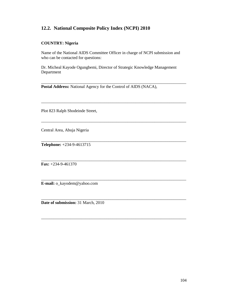## **12.2. National Composite Policy Index (NCPI) 2010**

## **COUNTRY: Nigeria**

Name of the National AIDS Committee Officer in charge of NCPI submission and who can be contacted for questions:

Dr. Micheal Kayode Ogungbemi, Director of Strategic Knowledge Management Department

\_\_\_\_\_\_\_\_\_\_\_\_\_\_\_\_\_\_\_\_\_\_\_\_\_\_\_\_\_\_\_\_\_\_\_\_\_\_\_\_\_\_\_\_\_\_\_\_\_\_\_\_\_\_\_\_\_\_\_\_\_\_\_\_\_\_\_\_\_

\_\_\_\_\_\_\_\_\_\_\_\_\_\_\_\_\_\_\_\_\_\_\_\_\_\_\_\_\_\_\_\_\_\_\_\_\_\_\_\_\_\_\_\_\_\_\_\_\_\_\_\_\_\_\_\_\_\_\_\_\_\_\_\_\_\_\_\_\_

\_\_\_\_\_\_\_\_\_\_\_\_\_\_\_\_\_\_\_\_\_\_\_\_\_\_\_\_\_\_\_\_\_\_\_\_\_\_\_\_\_\_\_\_\_\_\_\_\_\_\_\_\_\_\_\_\_\_\_\_\_\_\_\_\_\_\_\_\_

\_\_\_\_\_\_\_\_\_\_\_\_\_\_\_\_\_\_\_\_\_\_\_\_\_\_\_\_\_\_\_\_\_\_\_\_\_\_\_\_\_\_\_\_\_\_\_\_\_\_\_\_\_\_\_\_\_\_\_\_\_\_\_\_\_\_\_\_\_

\_\_\_\_\_\_\_\_\_\_\_\_\_\_\_\_\_\_\_\_\_\_\_\_\_\_\_\_\_\_\_\_\_\_\_\_\_\_\_\_\_\_\_\_\_\_\_\_\_\_\_\_\_\_\_\_\_\_\_\_\_\_\_\_\_\_\_\_\_

\_\_\_\_\_\_\_\_\_\_\_\_\_\_\_\_\_\_\_\_\_\_\_\_\_\_\_\_\_\_\_\_\_\_\_\_\_\_\_\_\_\_\_\_\_\_\_\_\_\_\_\_\_\_\_\_\_\_\_\_\_\_\_\_\_\_\_\_\_

\_\_\_\_\_\_\_\_\_\_\_\_\_\_\_\_\_\_\_\_\_\_\_\_\_\_\_\_\_\_\_\_\_\_\_\_\_\_\_\_\_\_\_\_\_\_\_\_\_\_\_\_\_\_\_\_\_\_\_\_\_\_\_\_\_\_\_\_\_

**Postal Address:** National Agency for the Control of AIDS (NACA),

Plot 823 Ralph Shodeinde Street,

Central Area, Abuja Nigeria

**Telephone:** +234-9-4613715

\_\_\_\_\_\_\_\_\_\_\_\_\_\_\_\_\_\_\_\_\_\_\_\_\_\_\_\_\_\_\_\_\_\_\_\_\_\_\_\_\_\_\_\_\_\_\_\_\_\_\_\_\_\_\_\_\_\_\_\_\_\_\_\_\_\_\_\_\_ **Fax:** +234-9-461370

**E-mail:** o\_kayodem@yahoo.com

**Date of submission:** 31 March, 2010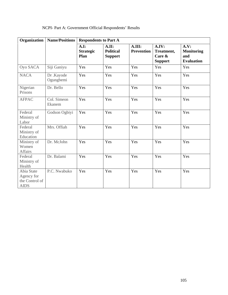| NCPI- Part A: Government Official Respondents' Results |  |
|--------------------------------------------------------|--|
|--------------------------------------------------------|--|

| <b>Name/Positions</b><br>Organization<br><b>Respondents to Part A</b> |                        |                                  |                                             |                             |                                                 |                                                       |
|-----------------------------------------------------------------------|------------------------|----------------------------------|---------------------------------------------|-----------------------------|-------------------------------------------------|-------------------------------------------------------|
|                                                                       |                        | A.I:<br><b>Strategic</b><br>Plan | A.II:<br><b>Political</b><br><b>Support</b> | A.III:<br><b>Prevention</b> | A.IV:<br>Treatment,<br>Care &<br><b>Support</b> | A.V:<br><b>Monitoring</b><br>and<br><b>Evaluation</b> |
| Oyo SACA                                                              | Siji Ganiyu            | Yes                              | Yes                                         | Yes                         | Yes                                             | Yes                                                   |
| <b>NACA</b>                                                           | Dr.Kayode<br>Ogungbemi | Yes                              | Yes                                         | Yes                         | Yes                                             | Yes                                                   |
| Nigerian<br>Prisons                                                   | Dr. Bello              | Yes                              | Yes                                         | Yes                         | Yes                                             | Yes                                                   |
| <b>AFPAC</b>                                                          | Col. Simeon<br>Ekanem  | Yes                              | Yes                                         | Yes                         | Yes                                             | Yes                                                   |
| Federal<br>Ministry of<br>Labor                                       | Godson Ogbiyi          | Yes                              | Yes                                         | Yes                         | Yes                                             | Yes                                                   |
| Federal<br>Ministry of<br>Education                                   | Mrs. Offiah            | Yes                              | Yes                                         | Yes                         | Yes                                             | Yes                                                   |
| Ministry of<br>Women<br><b>Affairs</b>                                | Dr. McJohn             | Yes                              | Yes                                         | Yes                         | Yes                                             | Yes                                                   |
| Federal<br>Ministry of<br>Health                                      | Dr. Balami             | Yes                              | Yes                                         | Yes                         | Yes                                             | Yes                                                   |
| Abia State<br>Agency for<br>the Control of<br><b>AIDS</b>             | P.C. Nwabuko           | Yes                              | Yes                                         | Yes                         | Yes                                             | Yes                                                   |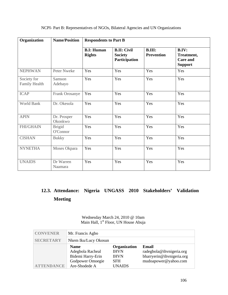| Organization                 | <b>Name/Position</b>      | <b>Respondents to Part B</b>       |                                                       |                                    |                                                          |  |
|------------------------------|---------------------------|------------------------------------|-------------------------------------------------------|------------------------------------|----------------------------------------------------------|--|
|                              |                           | <b>B.I: Human</b><br><b>Rights</b> | <b>B.II: Civil</b><br><b>Society</b><br>Participation | <b>B.III:</b><br><b>Prevention</b> | B.IV:<br>Treatment,<br><b>Care and</b><br><b>Support</b> |  |
| <b>NEPHWAN</b>               | Peter Nweke               | Yes                                | Yes                                                   | Yes                                | Yes                                                      |  |
| Society for<br>Family Health | Samson<br>Adebayo         | Yes                                | Yes                                                   | Yes                                | Yes                                                      |  |
| <b>ICAP</b>                  | Frank Orosanye            | Yes                                | Yes                                                   | Yes                                | Yes                                                      |  |
| World Bank                   | Dr. Okesola               | Yes                                | Yes                                                   | Yes                                | Yes                                                      |  |
| <b>APIN</b>                  | Dr. Prosper<br>Okonkwo    | Yes                                | Yes                                                   | Yes                                | Yes                                                      |  |
| <b>FHI/GHAIN</b>             | <b>Brigid</b><br>O'Connor | Yes                                | Yes                                                   | Yes                                | Yes                                                      |  |
| <b>CISHAN</b>                | <b>Bukky</b>              | Yes                                | Yes                                                   | Yes                                | Yes                                                      |  |
| <b>NYNETHA</b>               | Moses Okpara              | Yes                                | Yes                                                   | Yes                                | Yes                                                      |  |
| <b>UNAIDS</b>                | Dr Warren<br>Naamara      | Yes                                | Yes                                                   | Yes                                | Yes                                                      |  |

## NCPI- Part B: Representatives of NGOs, Bilateral Agencies and UN Organizations

## **12.3. Attendance: Nigeria UNGASS 2010 Stakeholders' Validation Meeting**

### Wednesday March 24, 2010 @ 10am Main Hall, 1<sup>st</sup> Floor, UN House Abuja

| <b>CONVENER</b>   | Mr. Francis Agbo                                                                          |                                                                           |                                                                                        |
|-------------------|-------------------------------------------------------------------------------------------|---------------------------------------------------------------------------|----------------------------------------------------------------------------------------|
| <b>SECRETARY</b>  | Nkem Iku/Lucy Okosun                                                                      |                                                                           |                                                                                        |
| <b>ATTENDANCE</b> | <b>Name</b><br>Adegbola Racheal<br>Bidemi Harry-Erin<br>Godpower Omoegie<br>Are-Shodede A | Organization<br><b>IHVN</b><br><b>IHVN</b><br><b>SFH</b><br><b>UNAIDS</b> | Email<br>radegbola@ihvnigeria.org<br>bharryerin@ihvnigeria.org<br>mudoapower@yahoo.com |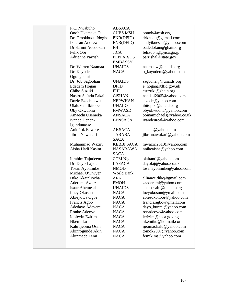| P.C. Nwabuho            | <b>ABSACA</b>     |                          |
|-------------------------|-------------------|--------------------------|
| Onoh Ukamaka O          | <b>CUBS MSH</b>   | oonoh@msh.org            |
| Dr. Omokhudu Idogho     | ENR(DFID)         | drkhudu@gamail.com       |
| Ikuesan Andrew          | ENR(DFID)         | andyikuesan@yahoo.com    |
| Dr Sanmi Adedokun       | <b>FHI</b>        | oadedokun@ghain.org      |
| Felix Obi               | <b>JICA</b>       | felixob.ng@jica.go.jp    |
| <b>Adrienne Parrish</b> | PEPFAR/US         | parrishal@state.gov      |
|                         | <b>EMBASSY</b>    |                          |
| Dr. Warren Naamaa       | <b>UNAIDS</b>     | naamaaw@unaids.org       |
| Dr. Kayode              | <b>NACA</b>       | o_kayodem@yahoo.com      |
| Ogungbemi               |                   |                          |
| Dr. Job Sagbohan        | <b>UNAIDS</b>     | sagbohanj@unaids.org     |
| Ededem Hogan            | <b>DFID</b>       | e_hogan@dfid.gov.uk      |
| Chiho Suzuki            | FHI               | csuzuki@ghain.org        |
| Nasiru Sa'adu Fakai     | <b>CiSHAN</b>     | nsfakai2005@yahoo.com    |
| Dozie Ezechukwu         | <b>NEPWHAN</b>    | eizode@yahoo.com         |
| Olalukem Ibitope        | <b>UNAIDS</b>     | ibitopeo@unaids.org      |
| Oby Okwuonu             | <b>FMWASD</b>     | obyokwuonu@yahoo.com     |
| Amaechi Osemeka         | <b>ANSACA</b>     | bomamichaels@yahoo.co.uk |
| Ivande Denen-           | <b>BENSACA</b>    | ivandeureal@yahoo.com    |
| Igundunasse             |                   |                          |
| Aniefiok Ekwere         | <b>AKSACA</b>     | aenele@yahoo.com         |
| Jibrin Nawukari         | <b>TARABA</b>     | jibrinnawukari@yahoo.com |
|                         | <b>SACA</b>       |                          |
| Muhammad Waziri         | <b>KEBBI SACA</b> | mwaziri2010@yahoo.com    |
| Aisha Hadi Kasim        | NASARAWA          | nnikeaisha@yahoo.com     |
|                         | <b>SACA</b>       |                          |
| Ibrahim Tajudeem        | <b>CCM</b> Nig    | olaitantj@yahoo.com      |
| Dr. Dayo Lajide         | <b>LASACA</b>     | dayolaj@yahoo.co.uk      |
| Tosan Ayonmike          | <b>NMOD</b>       | tosanayonmike@yahoo.com  |
| Michael O'Dwyer         | World Bank        |                          |
| Dike Akainliocha        | ARN               | alliance.dike@gmail.com  |
| Aderemi Azeez           | <b>FMOH</b>       | zzaderemi@yahoo.com      |
| Isaac Ahemesah          | <b>UNAIDS</b>     | ahemesahi@unaids.org     |
| Lucy Okosun             | <b>NACA</b>       | lucyokosun@ymail.com     |
| Abieyowa Ogbe           | <b>NACA</b>       | abiesokonbor@yahoo.com   |
| Francis Agbo            | <b>NACA</b>       | francis.agbo@gmail.com   |
| Adedayo Adeyemi         | NACA              | dayo_bunmi@yahoo.com     |
| Ronke Adeoye            | <b>NACA</b>       | ronadeoye@yahoo.com      |
| Idofeyin Ezirim         | <b>NACA</b>       | ierizim@naca.gov.ng      |
| Nkem Iku                | <b>NACA</b>       | nkemiku@hotmail.com      |
| Kalu Ijeoma Osan        | <b>NACA</b>       | ijeomaokalu@yahoo.com    |
| Akinrogunde Akin        | <b>NACA</b>       | tomok2007@yahoo.com      |
| Akinmade Femi           | <b>NACA</b>       | femikims@yahoo.com       |
|                         |                   |                          |
|                         |                   |                          |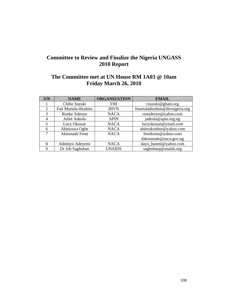## **Committee to Review and Finalize the Nigeria UNGASS 2010 Report**

## **The Committee met at UN House RM 1A03 @ 10am Friday March 26, 2010**

| S/N            | <b>NAME</b>          | <b>ORGANIZATION</b> | <b>EMAIL</b>                   |
|----------------|----------------------|---------------------|--------------------------------|
|                | Chiho Suzuki         | <b>FHI</b>          | csuzuki@ghain.org              |
| 2              | Fati Murtala-Ibrahim | <b>IHVN</b>         | fmurtalaibrahim@ihvnigeria.org |
| 3              | Ronke Adeoye         | <b>NACA</b>         | ronadeoye@yahoo.com            |
| $\overline{4}$ | Juliet Adeola        | <b>APIN</b>         | jadeola@apin.org.ng            |
|                | Lucy Okosun          | <b>NACA</b>         | lucyokosun@ymail.com           |
| 6              | Abieyuwa Ogbe        | <b>NACA</b>         | abiesokonbor@yahoo.com         |
| 7              | Akinmade Femi        | <b>NACA</b>         | femikims@yahoo.com             |
|                |                      |                     | dakinmade@naca.gov.ng          |
| 8              | Adedayo Adeyemi      | <b>NACA</b>         | dayo_bunmi@yahoo.com           |
| 9              | Dr Job Sagbohan      | <b>UNAIDS</b>       | sagbohanj@unaids.org           |